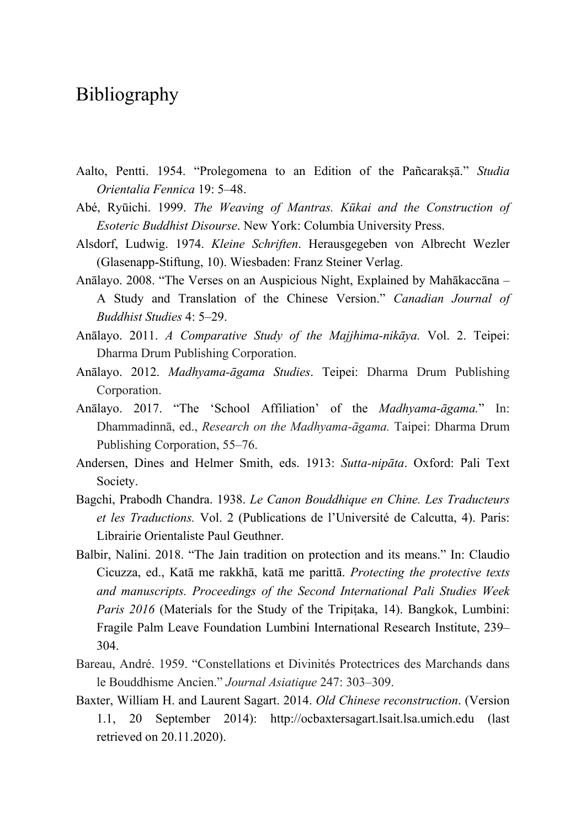## Bibliography

- Aalto, Pentti. 1954. "Prolegomena to an Edition of the Pañcarakṣā." *Studia Orientalia Fennica* 19: 5–48.
- Abé, Ryūichi. 1999. *The Weaving of Mantras. Kūkai and the Construction of Esoteric Buddhist Disourse*. New York: Columbia University Press.
- Alsdorf, Ludwig. 1974. *Kleine Schriften*. Herausgegeben von Albrecht Wezler (Glasenapp-Stiftung, 10). Wiesbaden: Franz Steiner Verlag.
- Anālayo. 2008. "The Verses on an Auspicious Night, Explained by Mahākaccāna A Study and Translation of the Chinese Version." *Canadian Journal of Buddhist Studies* 4: 5–29.
- Anālayo. 2011. *A Comparative Study of the Majjhima-nikāya.* Vol. 2. Teipei: Dharma Drum Publishing Corporation.
- Anālayo. 2012. *Madhyama-āgama Studies*. Teipei: Dharma Drum Publishing Corporation.
- Anālayo. 2017. "The 'School Affiliation' of the *Madhyama-āgama.*" In: Dhammadinnā, ed., *Research on the Madhyama-āgama.* Taipei: Dharma Drum Publishing Corporation, 55–76.
- Andersen, Dines and Helmer Smith, eds. 1913: *Sutta-nipāta*. Oxford: Pali Text Society.
- Bagchi, Prabodh Chandra. 1938. *Le Canon Bouddhique en Chine. Les Traducteurs et les Traductions.* Vol. 2 (Publications de l'Université de Calcutta, 4). Paris: Librairie Orientaliste Paul Geuthner.
- Balbir, Nalini. 2018. "The Jain tradition on protection and its means." In: Claudio Cicuzza, ed., Katā me rakkhā, katā me parittā. *Protecting the protective texts and manuscripts. Proceedings of the Second International Pali Studies Week Paris 2016* (Materials for the Study of the Tripitaka, 14). Bangkok, Lumbini: Fragile Palm Leave Foundation Lumbini International Research Institute, 239– 304.
- Bareau, André. 1959. "Constellations et Divinités Protectrices des Marchands dans le Bouddhisme Ancien." *Journal Asiatique* 247: 303–309.
- Baxter, William H. and Laurent Sagart. 2014. *Old Chinese reconstruction*. (Version 1.1, 20 September 2014): http://ocbaxtersagart.lsait.lsa.umich.edu (last retrieved on 20.11.2020).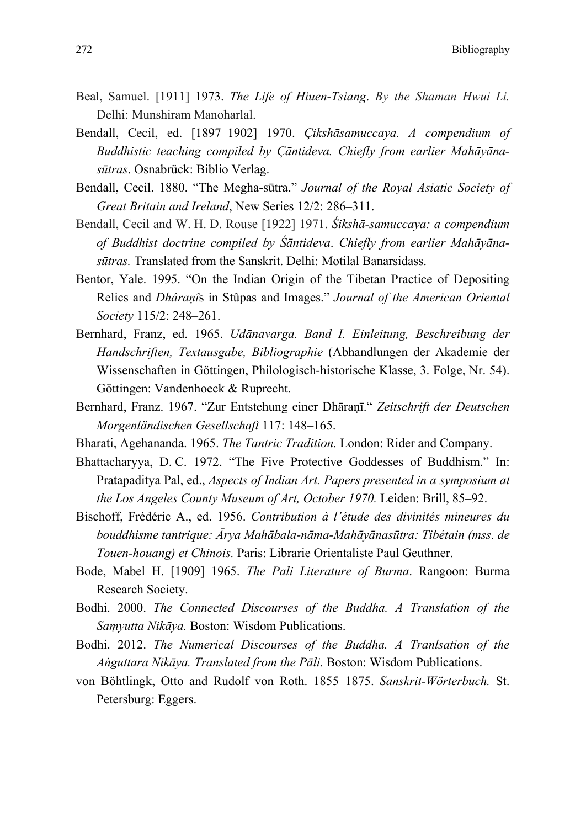272 Bibliography

- Beal, Samuel. [1911] 1973. *The Life of Hiuen-Tsiang*. *By the Shaman Hwui Li.*  Delhi: Munshiram Manoharlal.
- Bendall, Cecil, ed. [1897–1902] 1970. *Çikshāsamuccaya. A compendium of Buddhistic teaching compiled by Çāntideva. Chiefly from earlier Mahāyānasūtras*. Osnabrück: Biblio Verlag.
- Bendall, Cecil. 1880. "The Megha-sūtra." *Journal of the Royal Asiatic Society of Great Britain and Ireland*, New Series 12/2: 286–311.
- Bendall, Cecil and W. H. D. Rouse [1922] 1971. *Śikshā-samuccaya: a compendium of Buddhist doctrine compiled by Śāntideva*. *Chiefly from earlier Mahāyānasūtras.* Translated from the Sanskrit. Delhi: Motilal Banarsidass.
- Bentor, Yale. 1995. "On the Indian Origin of the Tibetan Practice of Depositing Relics and *Dhâraṇî*s in Stûpas and Images." *Journal of the American Oriental Society* 115/2: 248–261.
- Bernhard, Franz, ed. 1965. *Udānavarga. Band I. Einleitung, Beschreibung der Handschriften, Textausgabe, Bibliographie* (Abhandlungen der Akademie der Wissenschaften in Göttingen, Philologisch-historische Klasse, 3. Folge, Nr. 54). Göttingen: Vandenhoeck & Ruprecht.
- Bernhard, Franz. 1967. "Zur Entstehung einer Dhāraṇī." *Zeitschrift der Deutschen Morgenländischen Gesellschaft* 117: 148–165.
- Bharati, Agehananda. 1965. *The Tantric Tradition.* London: Rider and Company.
- Bhattacharyya, D. C. 1972. "The Five Protective Goddesses of Buddhism." In: Pratapaditya Pal, ed., *Aspects of Indian Art. Papers presented in a symposium at the Los Angeles County Museum of Art, October 1970.* Leiden: Brill, 85–92.
- Bischoff, Frédéric A., ed. 1956. *Contribution à l'étude des divinités mineures du bouddhisme tantrique: Ārya Mahābala-nāma-Mahāyānasūtra: Tibétain (mss. de Touen-houang) et Chinois.* Paris: Librarie Orientaliste Paul Geuthner.
- Bode, Mabel H. [1909] 1965. *The Pali Literature of Burma*. Rangoon: Burma Research Society.
- Bodhi. 2000. *The Connected Discourses of the Buddha. A Translation of the Saṃyutta Nikāya.* Boston: Wisdom Publications.
- Bodhi. 2012. *The Numerical Discourses of the Buddha. A Tranlsation of the Aṅguttara Nikāya. Translated from the Pāli.* Boston: Wisdom Publications.
- von Böhtlingk, Otto and Rudolf von Roth. 1855–1875. *Sanskrit-Wörterbuch.* St. Petersburg: Eggers.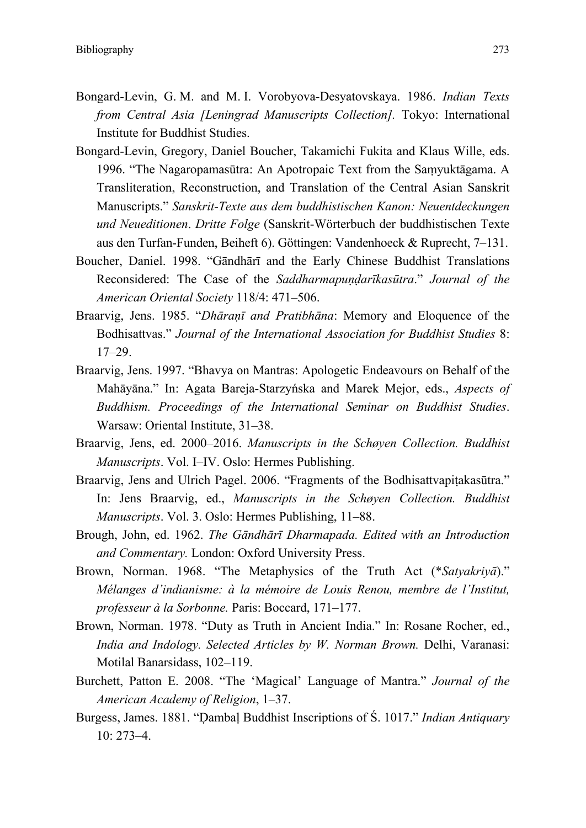- Bongard-Levin, G. M. and M. I. Vorobyova-Desyatovskaya. 1986. *Indian Texts from Central Asia [Leningrad Manuscripts Collection].* Tokyo: International Institute for Buddhist Studies.
- Bongard-Levin, Gregory, Daniel Boucher, Takamichi Fukita and Klaus Wille, eds. 1996. "The Nagaropamasūtra: An Apotropaic Text from the Saṃyuktāgama. A Transliteration, Reconstruction, and Translation of the Central Asian Sanskrit Manuscripts." *Sanskrit-Texte aus dem buddhistischen Kanon: Neuentdeckungen und Neueditionen*. *Dritte Folge* (Sanskrit-Wörterbuch der buddhistischen Texte aus den Turfan-Funden, Beiheft 6). Göttingen: Vandenhoeck & Ruprecht, 7–131.
- Boucher, Daniel. 1998. "Gāndhārī and the Early Chinese Buddhist Translations Reconsidered: The Case of the *Saddharmapuṇḍarīkasūtra*." *Journal of the American Oriental Society* 118/4: 471–506.
- Braarvig, Jens. 1985. "*Dhāraṇī and Pratibhāna*: Memory and Eloquence of the Bodhisattvas." *Journal of the International Association for Buddhist Studies* 8: 17–29.
- Braarvig, Jens. 1997. "Bhavya on Mantras: Apologetic Endeavours on Behalf of the Mahāyāna." In: Agata Bareja-Starzyńska and Marek Mejor, eds., *Aspects of Buddhism. Proceedings of the International Seminar on Buddhist Studies*. Warsaw: Oriental Institute, 31–38.
- Braarvig, Jens, ed. 2000–2016. *Manuscripts in the Schøyen Collection. Buddhist Manuscripts*. Vol. I–IV. Oslo: Hermes Publishing.
- Braarvig, Jens and Ulrich Pagel. 2006. "Fragments of the Bodhisattvapiṭakasūtra." In: Jens Braarvig, ed., *Manuscripts in the Schøyen Collection. Buddhist Manuscripts*. Vol. 3. Oslo: Hermes Publishing, 11–88.
- Brough, John, ed. 1962. *The Gāndhārī Dharmapada. Edited with an Introduction and Commentary.* London: Oxford University Press.
- Brown, Norman. 1968. "The Metaphysics of the Truth Act (\**Satyakriyā*)." *Mélanges d'indianisme: à la mémoire de Louis Renou, membre de l'Institut, professeur à la Sorbonne.* Paris: Boccard, 171–177.
- Brown, Norman. 1978. "Duty as Truth in Ancient India." In: Rosane Rocher, ed., *India and Indology. Selected Articles by W. Norman Brown.* Delhi, Varanasi: Motilal Banarsidass, 102–119.
- Burchett, Patton E. 2008. "The 'Magical' Language of Mantra." *Journal of the American Academy of Religion*, 1–37.
- Burgess, James. 1881. "Ḍambaḷ Buddhist Inscriptions of Ś. 1017." *Indian Antiquary* 10: 273–4.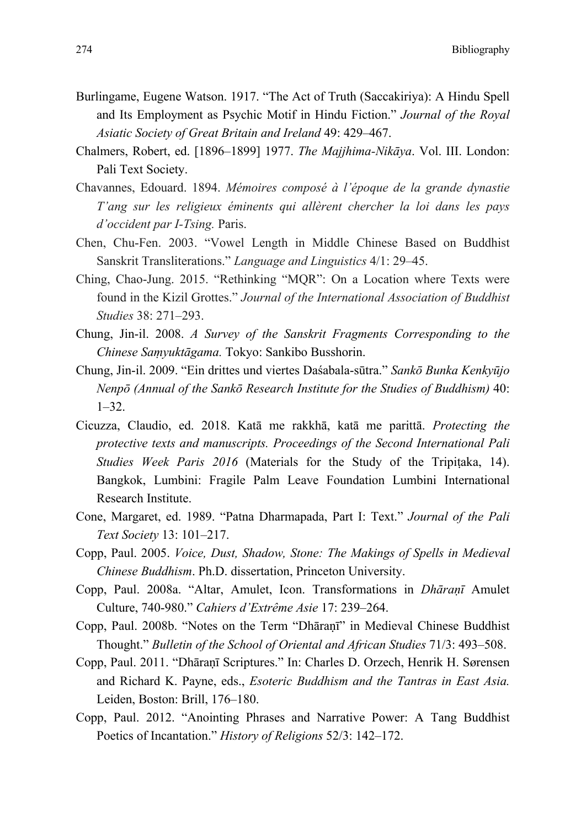- Burlingame, Eugene Watson. 1917. "The Act of Truth (Saccakiriya): A Hindu Spell and Its Employment as Psychic Motif in Hindu Fiction." *Journal of the Royal Asiatic Society of Great Britain and Ireland* 49: 429–467.
- Chalmers, Robert, ed. [1896–1899] 1977. *The Majjhima-Nikāya*. Vol. III. London: Pali Text Society.
- Chavannes, Edouard. 1894. *Mémoires composé à l'époque de la grande dynastie T'ang sur les religieux éminents qui allèrent chercher la loi dans les pays d'occident par I-Tsing.* Paris.
- Chen, Chu-Fen. 2003. "Vowel Length in Middle Chinese Based on Buddhist Sanskrit Transliterations." *Language and Linguistics* 4/1: 29–45.
- Ching, Chao-Jung. 2015. "Rethinking "MQR": On a Location where Texts were found in the Kizil Grottes." *Journal of the International Association of Buddhist Studies* 38: 271–293.
- Chung, Jin-il. 2008. *A Survey of the Sanskrit Fragments Corresponding to the Chinese Saṃyuktāgama.* Tokyo: Sankibo Busshorin.
- Chung, Jin-il. 2009. "Ein drittes und viertes Daśabala-sūtra." *Sankō Bunka Kenkyūjo Nenpō (Annual of the Sankō Research Institute for the Studies of Buddhism)* 40:  $1-32.$
- Cicuzza, Claudio, ed. 2018. Katā me rakkhā, katā me parittā. *Protecting the protective texts and manuscripts. Proceedings of the Second International Pali Studies Week Paris 2016* (Materials for the Study of the Tripitaka, 14). Bangkok, Lumbini: Fragile Palm Leave Foundation Lumbini International Research Institute.
- Cone, Margaret, ed. 1989. "Patna Dharmapada, Part I: Text." *Journal of the Pali Text Society* 13: 101–217.
- Copp, Paul. 2005. *Voice, Dust, Shadow, Stone: The Makings of Spells in Medieval Chinese Buddhism*. Ph.D. dissertation, Princeton University.
- Copp, Paul. 2008a. "Altar, Amulet, Icon. Transformations in *Dhāraṇī* Amulet Culture, 740-980." *Cahiers d'Extrême Asie* 17: 239–264.
- Copp, Paul. 2008b. "Notes on the Term "Dhāraṇī" in Medieval Chinese Buddhist Thought." *Bulletin of the School of Oriental and African Studies* 71/3: 493–508.
- Copp, Paul. 2011. "Dhāraṇī Scriptures." In: Charles D. Orzech, Henrik H. Sørensen and Richard K. Payne, eds., *Esoteric Buddhism and the Tantras in East Asia.*  Leiden, Boston: Brill, 176–180.
- Copp, Paul. 2012. "Anointing Phrases and Narrative Power: A Tang Buddhist Poetics of Incantation." *History of Religions* 52/3: 142–172.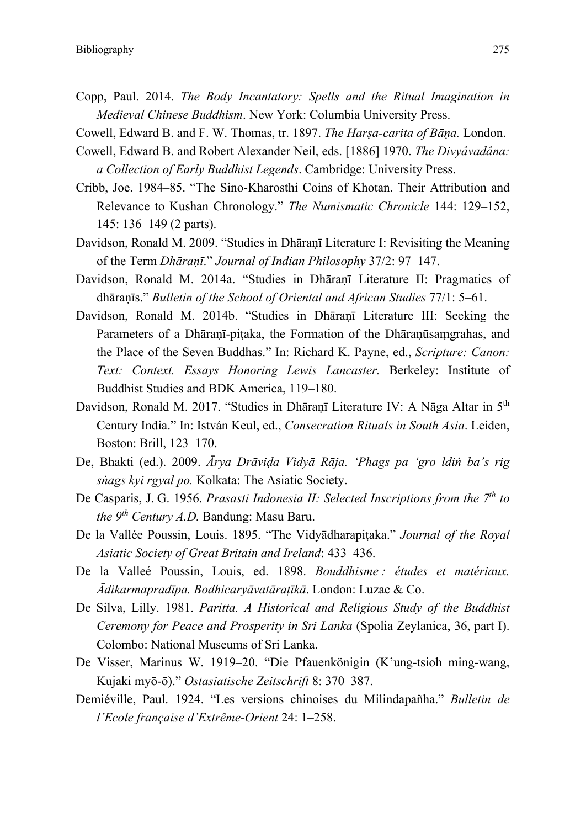- Copp, Paul. 2014. *The Body Incantatory: Spells and the Ritual Imagination in Medieval Chinese Buddhism*. New York: Columbia University Press.
- Cowell, Edward B. and F. W. Thomas, tr. 1897. *The Harṣa-carita of Bāṇa.* London.
- Cowell, Edward B. and Robert Alexander Neil, eds. [1886] 1970. *The Divyâvadâna: a Collection of Early Buddhist Legends*. Cambridge: University Press.
- Cribb, Joe. 1984–85. "The Sino-Kharosthi Coins of Khotan. Their Attribution and Relevance to Kushan Chronology." *The Numismatic Chronicle* 144: 129–152, 145: 136–149 (2 parts).
- Davidson, Ronald M. 2009. "Studies in Dhāraṇī Literature I: Revisiting the Meaning of the Term *Dhāraṇī*." *Journal of Indian Philosophy* 37/2: 97–147.
- Davidson, Ronald M. 2014a. "Studies in Dhāraṇī Literature II: Pragmatics of dhāraṇīs." *Bulletin of the School of Oriental and African Studies* 77/1: 5–61.
- Davidson, Ronald M. 2014b. "Studies in Dhāraṇī Literature III: Seeking the Parameters of a Dhāraṇī-piṭaka, the Formation of the Dhāraṇūsaṃgrahas, and the Place of the Seven Buddhas." In: Richard K. Payne, ed., *Scripture: Canon: Text: Context. Essays Honoring Lewis Lancaster.* Berkeley: Institute of Buddhist Studies and BDK America, 119–180.
- Davidson, Ronald M. 2017. "Studies in Dhāranī Literature IV: A Nāga Altar in 5<sup>th</sup> Century India." In: István Keul, ed., *Consecration Rituals in South Asia*. Leiden, Boston: Brill, 123–170.
- De, Bhakti (ed.). 2009. *Ārya Drāviḍa Vidyā Rāja. 'Phags pa 'gro ldiṅ ba's rig sṅags kyi rgyal po.* Kolkata: The Asiatic Society.
- De Casparis, J. G. 1956. *Prasasti Indonesia II: Selected Inscriptions from the 7th to the 9th Century A.D.* Bandung: Masu Baru.
- De la Vallée Poussin, Louis. 1895. "The Vidyādharapiṭaka." *Journal of the Royal Asiatic Society of Great Britain and Ireland*: 433–436.
- De la Valleé Poussin, Louis, ed. 1898. *Bouddhisme : études et matériaux. Ādikarmapradīpa. Bodhicaryāvatāraṭīkā*. London: Luzac & Co.
- De Silva, Lilly. 1981. *Paritta. A Historical and Religious Study of the Buddhist Ceremony for Peace and Prosperity in Sri Lanka* (Spolia Zeylanica, 36, part I). Colombo: National Museums of Sri Lanka.
- De Visser, Marinus W. 1919–20. "Die Pfauenkönigin (K'ung-tsioh ming-wang, Kujaki myō-ō)." *Ostasiatische Zeitschrift* 8: 370–387.
- Demiéville, Paul. 1924. "Les versions chinoises du Milindapañha." *Bulletin de l'Ecole française d'Extrême-Orient* 24: 1–258.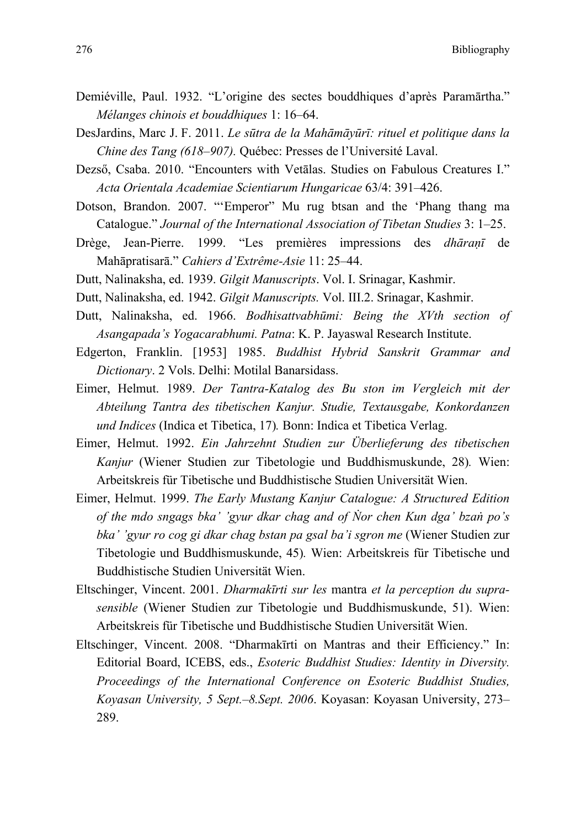- Demiéville, Paul. 1932. "L'origine des sectes bouddhiques d'après Paramārtha." *Mélanges chinois et bouddhiques* 1: 16–64.
- DesJardins, Marc J. F. 2011. *Le sūtra de la Mahāmāyūrī: rituel et politique dans la Chine des Tang (618–907).* Québec: Presses de l'Université Laval.
- Dezső, Csaba. 2010. "Encounters with Vetālas. Studies on Fabulous Creatures I." *Acta Orientala Academiae Scientiarum Hungaricae* 63/4: 391–426.
- Dotson, Brandon. 2007. "'Emperor" Mu rug btsan and the 'Phang thang ma Catalogue." *Journal of the International Association of Tibetan Studies* 3: 1–25.
- Drège, Jean-Pierre. 1999. "Les premières impressions des *dhāraṇī* de Mahāpratisarā." *Cahiers d'Extrême-Asie* 11: 25–44.
- Dutt, Nalinaksha, ed. 1939. *Gilgit Manuscripts*. Vol. I. Srinagar, Kashmir.
- Dutt, Nalinaksha, ed. 1942. *Gilgit Manuscripts.* Vol. III.2. Srinagar, Kashmir.
- Dutt, Nalinaksha, ed. 1966. *Bodhisattvabhūmi: Being the XVth section of Asangapada's Yogacarabhumi. Patna*: K. P. Jayaswal Research Institute.
- Edgerton, Franklin. [1953] 1985. *Buddhist Hybrid Sanskrit Grammar and Dictionary*. 2 Vols. Delhi: Motilal Banarsidass.
- Eimer, Helmut. 1989. *Der Tantra-Katalog des Bu ston im Vergleich mit der Abteilung Tantra des tibetischen Kanjur. Studie, Textausgabe, Konkordanzen und Indices* (Indica et Tibetica, 17)*.* Bonn: Indica et Tibetica Verlag.
- Eimer, Helmut. 1992. *Ein Jahrzehnt Studien zur Überlieferung des tibetischen Kanjur* (Wiener Studien zur Tibetologie und Buddhismuskunde, 28)*.* Wien: Arbeitskreis für Tibetische und Buddhistische Studien Universität Wien.
- Eimer, Helmut. 1999. *The Early Mustang Kanjur Catalogue: A Structured Edition of the mdo sngags bka' 'gyur dkar chag and of Ṅor chen Kun dga' bzaṅ po's bka' 'gyur ro cog gi dkar chag bstan pa gsal ba'i sgron me* (Wiener Studien zur Tibetologie und Buddhismuskunde, 45)*.* Wien: Arbeitskreis für Tibetische und Buddhistische Studien Universität Wien.
- Eltschinger, Vincent. 2001. *Dharmakīrti sur les* mantra *et la perception du suprasensible* (Wiener Studien zur Tibetologie und Buddhismuskunde, 51). Wien: Arbeitskreis für Tibetische und Buddhistische Studien Universität Wien.
- Eltschinger, Vincent. 2008. "Dharmakīrti on Mantras and their Efficiency." In: Editorial Board, ICEBS, eds., *Esoteric Buddhist Studies: Identity in Diversity. Proceedings of the International Conference on Esoteric Buddhist Studies, Koyasan University, 5 Sept.–8.Sept. 2006*. Koyasan: Koyasan University, 273– 289.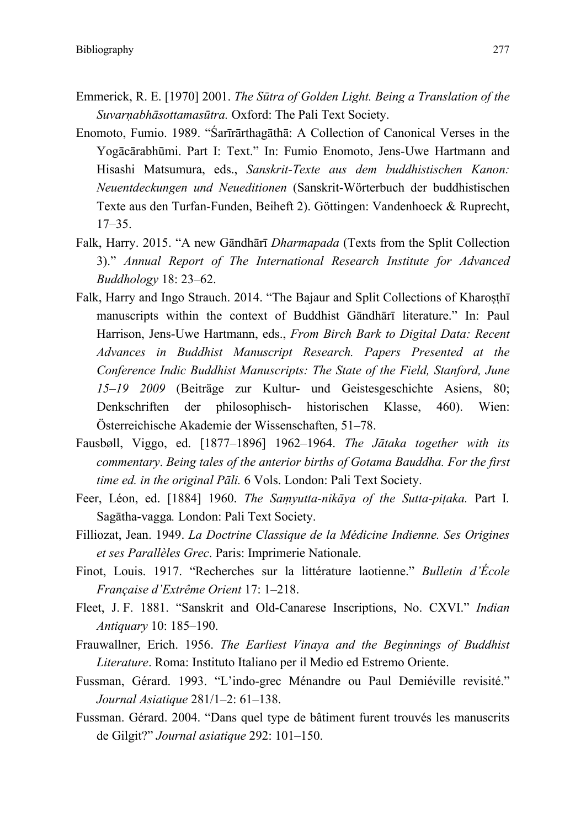- Emmerick, R. E. [1970] 2001. *The Sūtra of Golden Light. Being a Translation of the Suvarṇabhāsottamasūtra.* Oxford: The Pali Text Society.
- Enomoto, Fumio. 1989. "Śarīrārthagāthā: A Collection of Canonical Verses in the Yogācārabhūmi. Part I: Text." In: Fumio Enomoto, Jens-Uwe Hartmann and Hisashi Matsumura, eds., *Sanskrit-Texte aus dem buddhistischen Kanon: Neuentdeckungen und Neueditionen* (Sanskrit-Wörterbuch der buddhistischen Texte aus den Turfan-Funden, Beiheft 2). Göttingen: Vandenhoeck & Ruprecht, 17–35.
- Falk, Harry. 2015. "A new Gāndhārī *Dharmapada* (Texts from the Split Collection 3)." *Annual Report of The International Research Institute for Advanced Buddhology* 18: 23–62.
- Falk, Harry and Ingo Strauch. 2014. "The Bajaur and Split Collections of Kharosthī manuscripts within the context of Buddhist Gāndhārī literature." In: Paul Harrison, Jens-Uwe Hartmann, eds., *From Birch Bark to Digital Data: Recent Advances in Buddhist Manuscript Research. Papers Presented at the Conference Indic Buddhist Manuscripts: The State of the Field, Stanford, June 15–19 2009* (Beiträge zur Kultur- und Geistesgeschichte Asiens, 80; Denkschriften der philosophisch- historischen Klasse, 460). Wien: Österreichische Akademie der Wissenschaften, 51–78.
- Fausbøll, Viggo, ed. [1877–1896] 1962–1964. *The Jātaka together with its commentary*. *Being tales of the anterior births of Gotama Bauddha. For the first time ed. in the original Pāli.* 6 Vols. London: Pali Text Society.
- Feer, Léon, ed. [1884] 1960. *The Saṃyutta-nikāya of the Sutta-piṭaka.* Part I*.*  Sagātha-vagga*.* London: Pali Text Society.
- Filliozat, Jean. 1949. *La Doctrine Classique de la Médicine Indienne. Ses Origines et ses Parallèles Grec*. Paris: Imprimerie Nationale.
- Finot, Louis. 1917. "Recherches sur la littérature laotienne." *Bulletin d'École Française d'Extrême Orient* 17: 1–218.
- Fleet, J. F. 1881. "Sanskrit and Old-Canarese Inscriptions, No. CXVI." *Indian Antiquary* 10: 185–190.
- Frauwallner, Erich. 1956. *The Earliest Vinaya and the Beginnings of Buddhist Literature*. Roma: Instituto Italiano per il Medio ed Estremo Oriente.
- Fussman, Gérard. 1993. "L'indo-grec Ménandre ou Paul Demiéville revisité." *Journal Asiatique* 281/1–2: 61–138.
- Fussman. Gérard. 2004. "Dans quel type de bâtiment furent trouvés les manuscrits de Gilgit?" *Journal asiatique* 292: 101–150.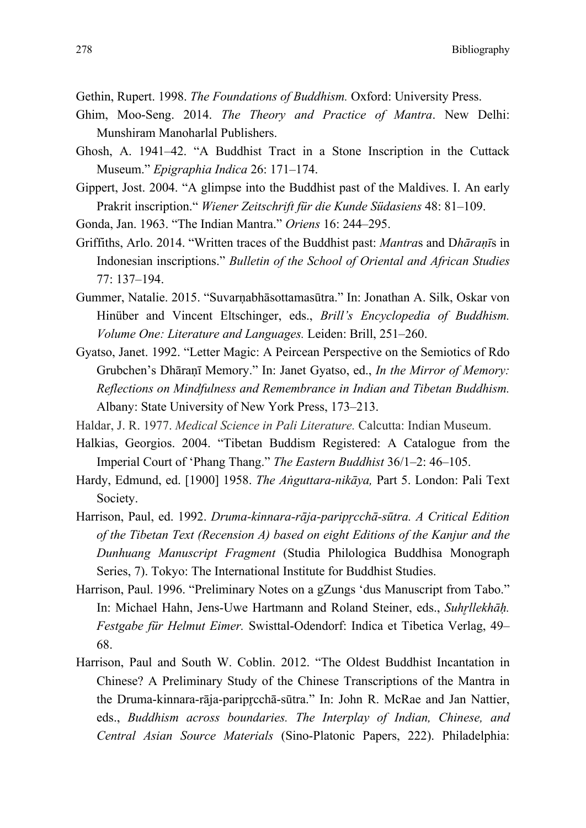Gethin, Rupert. 1998. *The Foundations of Buddhism.* Oxford: University Press.

- Ghim, Moo-Seng. 2014. *The Theory and Practice of Mantra*. New Delhi: Munshiram Manoharlal Publishers.
- Ghosh, A. 1941–42. "A Buddhist Tract in a Stone Inscription in the Cuttack Museum." *Epigraphia Indica* 26: 171–174.
- Gippert, Jost. 2004. "A glimpse into the Buddhist past of the Maldives. I. An early Prakrit inscription." *Wiener Zeitschrift für die Kunde Südasiens* 48: 81–109.

Gonda, Jan. 1963. "The Indian Mantra." *Oriens* 16: 244–295.

- Griffiths, Arlo. 2014. "Written traces of the Buddhist past: *Mantra*s and D*hāraṇī*s in Indonesian inscriptions." *Bulletin of the School of Oriental and African Studies*  77: 137–194.
- Gummer, Natalie. 2015. "Suvarṇabhāsottamasūtra." In: Jonathan A. Silk, Oskar von Hinüber and Vincent Eltschinger, eds., *Brill's Encyclopedia of Buddhism. Volume One: Literature and Languages.* Leiden: Brill, 251–260.
- Gyatso, Janet. 1992. "Letter Magic: A Peircean Perspective on the Semiotics of Rdo Grubchen's Dhāraṇī Memory." In: Janet Gyatso, ed., *In the Mirror of Memory: Reflections on Mindfulness and Remembrance in Indian and Tibetan Buddhism.* Albany: State University of New York Press, 173–213.

Haldar, J. R. 1977. *Medical Science in Pali Literature.* Calcutta: Indian Museum.

- Halkias, Georgios. 2004. "Tibetan Buddism Registered: A Catalogue from the Imperial Court of 'Phang Thang." *The Eastern Buddhist* 36/1–2: 46–105.
- Hardy, Edmund, ed. [1900] 1958. *The Aṅguttara-nikāya,* Part 5. London: Pali Text Society.
- Harrison, Paul, ed. 1992. *Druma-kinnara-rāja-paripr̥cchā-sūtra. A Critical Edition of the Tibetan Text (Recension A) based on eight Editions of the Kanjur and the Dunhuang Manuscript Fragment* (Studia Philologica Buddhisa Monograph Series, 7). Tokyo: The International Institute for Buddhist Studies.
- Harrison, Paul. 1996. "Preliminary Notes on a gZungs 'dus Manuscript from Tabo." In: Michael Hahn, Jens-Uwe Hartmann and Roland Steiner, eds., *Suhr̥llekhāḥ. Festgabe für Helmut Eimer.* Swisttal-Odendorf: Indica et Tibetica Verlag, 49– 68.
- Harrison, Paul and South W. Coblin. 2012. "The Oldest Buddhist Incantation in Chinese? A Preliminary Study of the Chinese Transcriptions of the Mantra in the Druma-kinnara-rāja-paripr̥cchā-sūtra." In: John R. McRae and Jan Nattier, eds., *Buddhism across boundaries. The Interplay of Indian, Chinese, and Central Asian Source Materials* (Sino-Platonic Papers, 222). Philadelphia: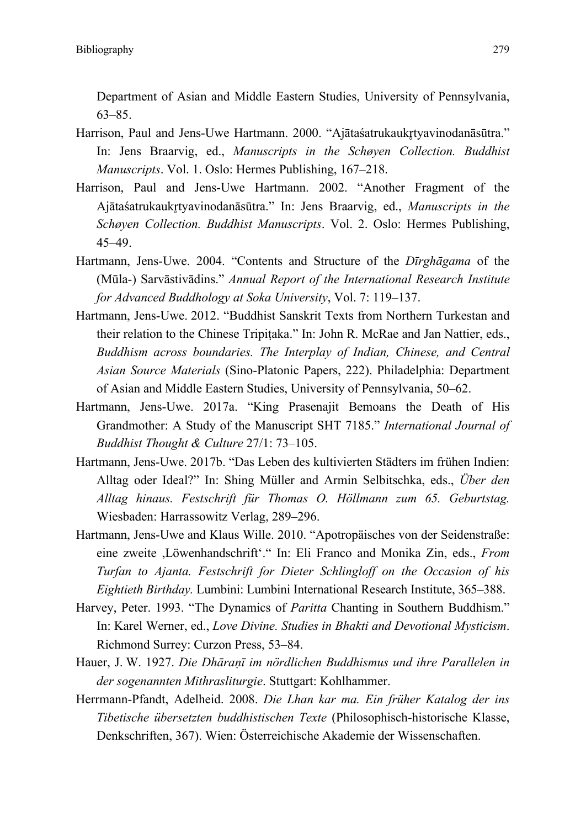Department of Asian and Middle Eastern Studies, University of Pennsylvania, 63–85.

- Harrison, Paul and Jens-Uwe Hartmann. 2000. "Ajātaśatrukaukrtyavinodanāsūtra." In: Jens Braarvig, ed., *Manuscripts in the Schøyen Collection. Buddhist Manuscripts*. Vol. 1. Oslo: Hermes Publishing, 167–218.
- Harrison, Paul and Jens-Uwe Hartmann. 2002. "Another Fragment of the Ajātaśatrukaukr̥tyavinodanāsūtra." In: Jens Braarvig, ed., *Manuscripts in the Schøyen Collection. Buddhist Manuscripts*. Vol. 2. Oslo: Hermes Publishing, 45–49.
- Hartmann, Jens-Uwe. 2004. "Contents and Structure of the *Dīrghāgama* of the (Mūla-) Sarvāstivādins." *Annual Report of the International Research Institute for Advanced Buddhology at Soka University*, Vol. 7: 119–137.
- Hartmann, Jens-Uwe. 2012. "Buddhist Sanskrit Texts from Northern Turkestan and their relation to the Chinese Tripitaka." In: John R. McRae and Jan Nattier, eds., *Buddhism across boundaries. The Interplay of Indian, Chinese, and Central Asian Source Materials* (Sino-Platonic Papers, 222). Philadelphia: Department of Asian and Middle Eastern Studies, University of Pennsylvania, 50–62.
- Hartmann, Jens-Uwe. 2017a. "King Prasenajit Bemoans the Death of His Grandmother: A Study of the Manuscript SHT 7185." *International Journal of Buddhist Thought & Culture* 27/1: 73–105.
- Hartmann, Jens-Uwe. 2017b. "Das Leben des kultivierten Städters im frühen Indien: Alltag oder Ideal?" In: Shing Müller and Armin Selbitschka, eds., *Über den Alltag hinaus. Festschrift für Thomas O. Höllmann zum 65. Geburtstag.* Wiesbaden: Harrassowitz Verlag, 289–296.
- Hartmann, Jens-Uwe and Klaus Wille. 2010. "Apotropäisches von der Seidenstraße: eine zweite ,Löwenhandschrift'." In: Eli Franco and Monika Zin, eds., *From Turfan to Ajanta. Festschrift for Dieter Schlingloff on the Occasion of his Eightieth Birthday.* Lumbini: Lumbini International Research Institute, 365–388.
- Harvey, Peter. 1993. "The Dynamics of *Paritta* Chanting in Southern Buddhism." In: Karel Werner, ed., *Love Divine. Studies in Bhakti and Devotional Mysticism*. Richmond Surrey: Curzon Press, 53–84.
- Hauer, J. W. 1927. *Die Dhāraṇī im nördlichen Buddhismus und ihre Parallelen in der sogenannten Mithrasliturgie*. Stuttgart: Kohlhammer.
- Herrmann-Pfandt, Adelheid. 2008. *Die Lhan kar ma. Ein früher Katalog der ins Tibetische übersetzten buddhistischen Texte* (Philosophisch-historische Klasse, Denkschriften, 367). Wien: Österreichische Akademie der Wissenschaften.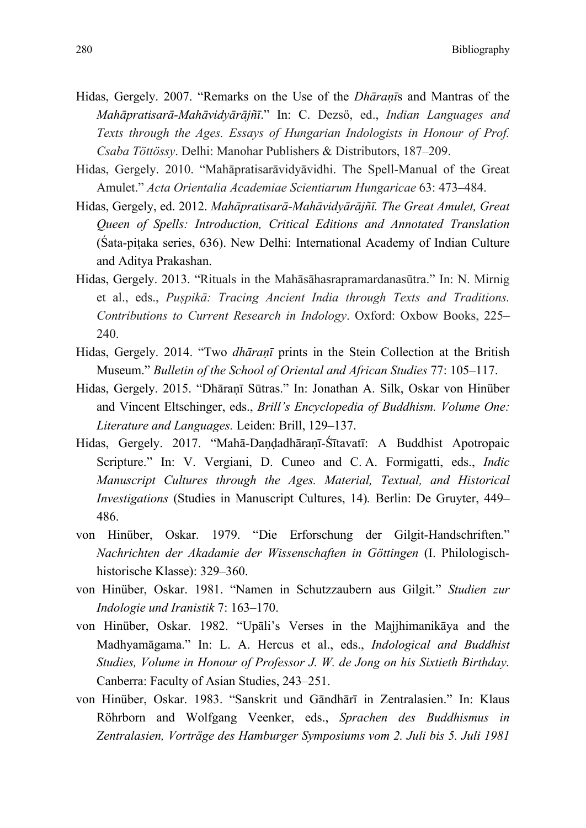- Hidas, Gergely. 2007. "Remarks on the Use of the *Dhāraṇī*s and Mantras of the *Mahāpratisarā-Mahāvidyārājñī*." In: C. Dezső, ed., *Indian Languages and Texts through the Ages. Essays of Hungarian Indologists in Honour of Prof. Csaba Töttössy*. Delhi: Manohar Publishers & Distributors, 187–209.
- Hidas, Gergely. 2010. "Mahāpratisarāvidyāvidhi. The Spell-Manual of the Great Amulet." *Acta Orientalia Academiae Scientiarum Hungaricae* 63: 473–484.
- Hidas, Gergely, ed. 2012. *Mahāpratisarā-Mahāvidyārājñī. The Great Amulet, Great Queen of Spells: Introduction, Critical Editions and Annotated Translation*  (Śata-piṭaka series, 636). New Delhi: International Academy of Indian Culture and Aditya Prakashan.
- Hidas, Gergely. 2013. "Rituals in the Mahāsāhasrapramardanasūtra." In: N. Mirnig et al., eds., *Puṣpikā: Tracing Ancient India through Texts and Traditions. Contributions to Current Research in Indology*. Oxford: Oxbow Books, 225– 240.
- Hidas, Gergely. 2014. "Two *dhāraṇī* prints in the Stein Collection at the British Museum." *Bulletin of the School of Oriental and African Studies* 77: 105–117.
- Hidas, Gergely. 2015. "Dhāraṇī Sūtras." In: Jonathan A. Silk, Oskar von Hinüber and Vincent Eltschinger, eds., *Brill's Encyclopedia of Buddhism. Volume One: Literature and Languages.* Leiden: Brill, 129–137.
- Hidas, Gergely. 2017. "Mahā-Daṇḍadhāraṇī-Śītavatī: A Buddhist Apotropaic Scripture." In: V. Vergiani, D. Cuneo and C. A. Formigatti, eds., *Indic Manuscript Cultures through the Ages. Material, Textual, and Historical Investigations* (Studies in Manuscript Cultures, 14)*.* Berlin: De Gruyter, 449– 486.
- von Hinüber, Oskar. 1979. "Die Erforschung der Gilgit-Handschriften." *Nachrichten der Akadamie der Wissenschaften in Göttingen* (I. Philologischhistorische Klasse): 329–360.
- von Hinüber, Oskar. 1981. "Namen in Schutzzaubern aus Gilgit." *Studien zur Indologie und Iranistik* 7: 163–170.
- von Hinüber, Oskar. 1982. "Upāli's Verses in the Majjhimanikāya and the Madhyamāgama." In: L. A. Hercus et al., eds., *Indological and Buddhist Studies, Volume in Honour of Professor J. W. de Jong on his Sixtieth Birthday.* Canberra: Faculty of Asian Studies, 243–251.
- von Hinüber, Oskar. 1983. "Sanskrit und Gāndhārī in Zentralasien." In: Klaus Röhrborn and Wolfgang Veenker, eds., *Sprachen des Buddhismus in Zentralasien, Vorträge des Hamburger Symposiums vom 2. Juli bis 5. Juli 1981*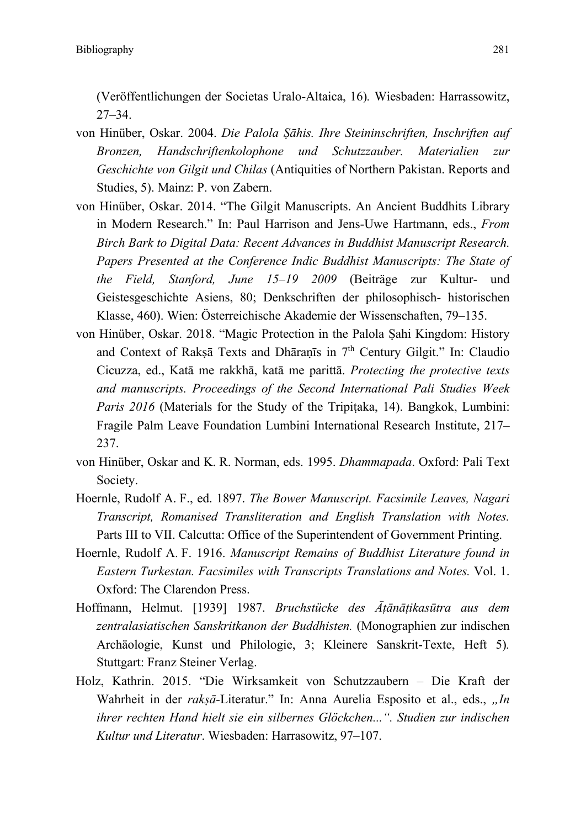(Veröffentlichungen der Societas Uralo-Altaica, 16)*.* Wiesbaden: Harrassowitz, 27–34.

- von Hinüber, Oskar. 2004. *Die Palola Ṣāhis. Ihre Steininschriften, Inschriften auf Bronzen, Handschriftenkolophone und Schutzzauber. Materialien zur Geschichte von Gilgit und Chilas* (Antiquities of Northern Pakistan. Reports and Studies, 5). Mainz: P. von Zabern.
- von Hinüber, Oskar. 2014. "The Gilgit Manuscripts. An Ancient Buddhits Library in Modern Research." In: Paul Harrison and Jens-Uwe Hartmann, eds., *From Birch Bark to Digital Data: Recent Advances in Buddhist Manuscript Research. Papers Presented at the Conference Indic Buddhist Manuscripts: The State of the Field, Stanford, June 15–19 2009* (Beiträge zur Kultur- und Geistesgeschichte Asiens, 80; Denkschriften der philosophisch- historischen Klasse, 460). Wien: Österreichische Akademie der Wissenschaften, 79–135.
- von Hinüber, Oskar. 2018. "Magic Protection in the Palola Ṣahi Kingdom: History and Context of Raksā Texts and Dhāranīs in  $7<sup>th</sup>$  Century Gilgit." In: Claudio Cicuzza, ed., Katā me rakkhā, katā me parittā. *Protecting the protective texts and manuscripts. Proceedings of the Second International Pali Studies Week Paris 2016* (Materials for the Study of the Tripitaka, 14). Bangkok, Lumbini: Fragile Palm Leave Foundation Lumbini International Research Institute, 217– 237.
- von Hinüber, Oskar and K. R. Norman, eds. 1995. *Dhammapada*. Oxford: Pali Text Society.
- Hoernle, Rudolf A. F., ed. 1897. *The Bower Manuscript. Facsimile Leaves, Nagari Transcript, Romanised Transliteration and English Translation with Notes.* Parts III to VII. Calcutta: Office of the Superintendent of Government Printing.
- Hoernle, Rudolf A. F. 1916. *Manuscript Remains of Buddhist Literature found in Eastern Turkestan. Facsimiles with Transcripts Translations and Notes.* Vol. 1. Oxford: The Clarendon Press.
- Hoffmann, Helmut. [1939] 1987. *Bruchstücke des Āṭānāṭikasūtra aus dem zentralasiatischen Sanskritkanon der Buddhisten.* (Monographien zur indischen Archäologie, Kunst und Philologie, 3; Kleinere Sanskrit-Texte, Heft 5)*.* Stuttgart: Franz Steiner Verlag.
- Holz, Kathrin. 2015. "Die Wirksamkeit von Schutzzaubern Die Kraft der Wahrheit in der *rakṣā*-Literatur." In: Anna Aurelia Esposito et al., eds., "In *ihrer rechten Hand hielt sie ein silbernes Glöckchen...". Studien zur indischen Kultur und Literatur*. Wiesbaden: Harrasowitz, 97–107.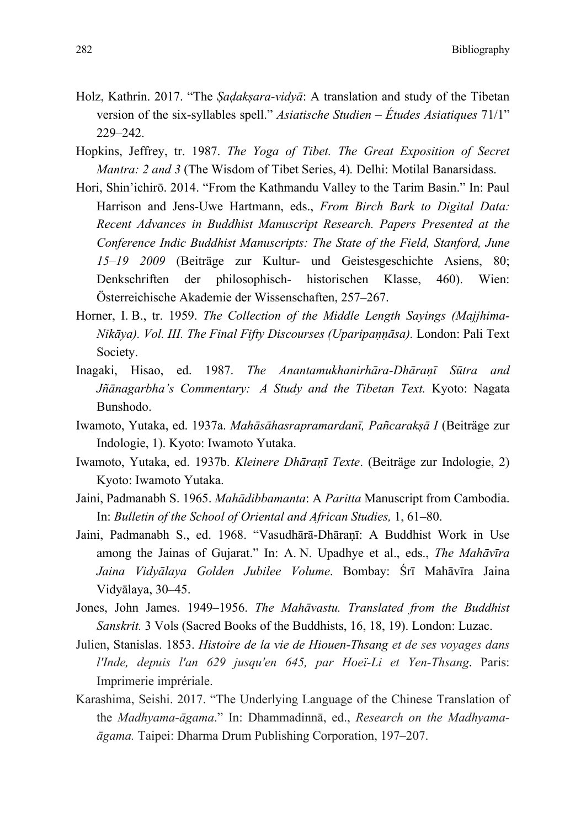- Holz, Kathrin. 2017. "The *Ṣaḍakṣara-vidyā*: A translation and study of the Tibetan version of the six-syllables spell." *Asiatische Studien – Études Asiatiques* 71/1" 229–242.
- Hopkins, Jeffrey, tr. 1987. *The Yoga of Tibet. The Great Exposition of Secret Mantra: 2 and 3* (The Wisdom of Tibet Series, 4)*.* Delhi: Motilal Banarsidass.
- Hori, Shin'ichirō. 2014. "From the Kathmandu Valley to the Tarim Basin." In: Paul Harrison and Jens-Uwe Hartmann, eds., *From Birch Bark to Digital Data: Recent Advances in Buddhist Manuscript Research. Papers Presented at the Conference Indic Buddhist Manuscripts: The State of the Field, Stanford, June 15–19 2009* (Beiträge zur Kultur- und Geistesgeschichte Asiens, 80; Denkschriften der philosophisch- historischen Klasse, 460). Wien: Österreichische Akademie der Wissenschaften, 257–267.
- Horner, I. B., tr. 1959. *The Collection of the Middle Length Sayings (Majjhima-Nikāya). Vol. III. The Final Fifty Discourses (Uparipaṇṇāsa).* London: Pali Text Society.
- Inagaki, Hisao, ed. 1987. *The Anantamukhanirhāra-Dhāraṇī Sūtra and Jñānagarbha's Commentary: A Study and the Tibetan Text.* Kyoto: Nagata Bunshodo.
- Iwamoto, Yutaka, ed. 1937a. *Mahāsāhasrapramardanī, Pañcarakṣā I* (Beiträge zur Indologie, 1). Kyoto: Iwamoto Yutaka.
- Iwamoto, Yutaka, ed. 1937b. *Kleinere Dhāraṇī Texte*. (Beiträge zur Indologie, 2) Kyoto: Iwamoto Yutaka.
- Jaini, Padmanabh S. 1965. *Mahādibbamanta*: A *Paritta* Manuscript from Cambodia. In: *Bulletin of the School of Oriental and African Studies,* 1, 61–80.
- Jaini, Padmanabh S., ed. 1968. "Vasudhārā-Dhāraṇī: A Buddhist Work in Use among the Jainas of Gujarat." In: A. N. Upadhye et al., eds., *The Mahāvīra Jaina Vidyālaya Golden Jubilee Volume*. Bombay: Śrī Mahāvīra Jaina Vidyālaya, 30–45.
- Jones, John James. 1949–1956. *The Mahāvastu. Translated from the Buddhist Sanskrit.* 3 Vols (Sacred Books of the Buddhists, 16, 18, 19). London: Luzac.
- Julien, Stanislas. 1853. *Histoire de la vie de Hiouen-Thsang et de ses voyages dans l'Inde, depuis l'an 629 jusqu'en 645, par Hoeï-Li et Yen-Thsang*. Paris: Imprimerie imprériale.
- Karashima, Seishi. 2017. "The Underlying Language of the Chinese Translation of the *Madhyama-āgama*." In: Dhammadinnā, ed., *Research on the Madhyamaāgama.* Taipei: Dharma Drum Publishing Corporation, 197–207.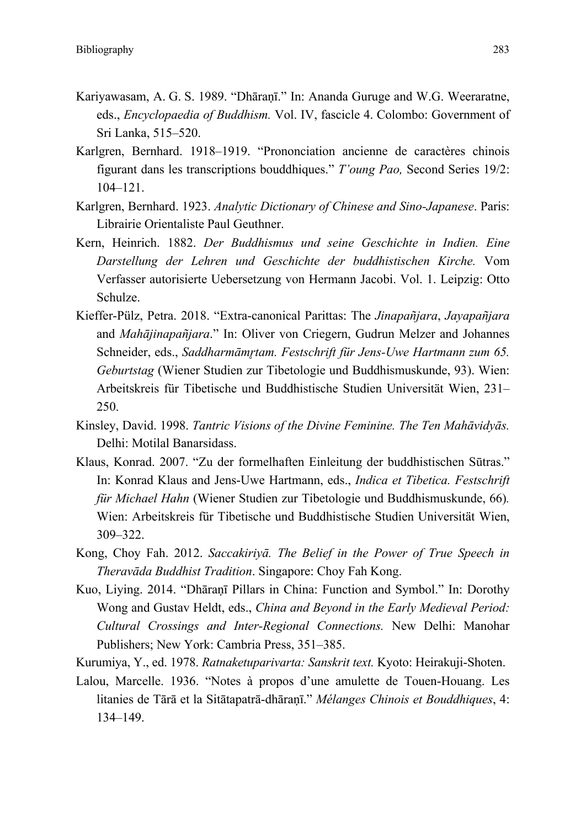- Kariyawasam, A. G. S. 1989. "Dhāraṇī." In: Ananda Guruge and W.G. Weeraratne, eds., *Encyclopaedia of Buddhism.* Vol. IV, fascicle 4. Colombo: Government of Sri Lanka, 515–520.
- Karlgren, Bernhard. 1918–1919. "Prononciation ancienne de caractères chinois figurant dans les transcriptions bouddhiques." *T'oung Pao,* Second Series 19/2: 104–121.
- Karlgren, Bernhard. 1923. *Analytic Dictionary of Chinese and Sino-Japanese*. Paris: Librairie Orientaliste Paul Geuthner.
- Kern, Heinrich. 1882. *Der Buddhismus und seine Geschichte in Indien. Eine Darstellung der Lehren und Geschichte der buddhistischen Kirche.* Vom Verfasser autorisierte Uebersetzung von Hermann Jacobi. Vol. 1. Leipzig: Otto Schulze.
- Kieffer-Pülz, Petra. 2018. "Extra-canonical Parittas: The *Jinapañjara*, *Jayapañjara* and *Mahājinapañjara*." In: Oliver von Criegern, Gudrun Melzer and Johannes Schneider, eds., *Saddharmāmr̥tam. Festschrift für Jens-Uwe Hartmann zum 65. Geburtstag* (Wiener Studien zur Tibetologie und Buddhismuskunde, 93). Wien: Arbeitskreis für Tibetische und Buddhistische Studien Universität Wien, 231– 250.
- Kinsley, David. 1998. *Tantric Visions of the Divine Feminine. The Ten Mahāvidyās.*  Delhi: Motilal Banarsidass.
- Klaus, Konrad. 2007. "Zu der formelhaften Einleitung der buddhistischen Sūtras." In: Konrad Klaus and Jens-Uwe Hartmann, eds., *Indica et Tibetica. Festschrift für Michael Hahn* (Wiener Studien zur Tibetologie und Buddhismuskunde, 66)*.*  Wien: Arbeitskreis für Tibetische und Buddhistische Studien Universität Wien, 309–322.
- Kong, Choy Fah. 2012. *Saccakiriyā. The Belief in the Power of True Speech in Theravāda Buddhist Tradition*. Singapore: Choy Fah Kong.
- Kuo, Liying. 2014. "Dhāraṇī Pillars in China: Function and Symbol." In: Dorothy Wong and Gustav Heldt, eds., *China and Beyond in the Early Medieval Period: Cultural Crossings and Inter-Regional Connections.* New Delhi: Manohar Publishers; New York: Cambria Press, 351–385.
- Kurumiya, Y., ed. 1978. *Ratnaketuparivarta: Sanskrit text.* Kyoto: Heirakuji-Shoten.
- Lalou, Marcelle. 1936. "Notes à propos d'une amulette de Touen-Houang. Les litanies de Tārā et la Sitātapatrā-dhāraṇī." *Mélanges Chinois et Bouddhiques*, 4: 134–149.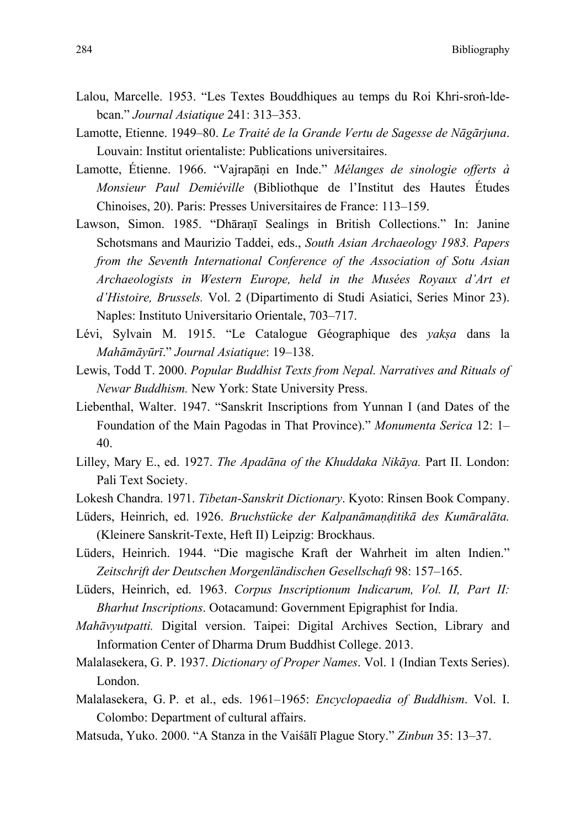- Lalou, Marcelle. 1953. "Les Textes Bouddhiques au temps du Roi Khri-sroṅ-ldebcan." *Journal Asiatique* 241: 313–353.
- Lamotte, Etienne. 1949–80. *Le Traité de la Grande Vertu de Sagesse de Nāgārjuna*. Louvain: Institut orientaliste: Publications universitaires.
- Lamotte, Étienne. 1966. "Vajrapāṇi en Inde." *Mélanges de sinologie offerts à Monsieur Paul Demiéville* (Bibliothque de l'Institut des Hautes Études Chinoises, 20). Paris: Presses Universitaires de France: 113–159.
- Lawson, Simon. 1985. "Dhāraṇī Sealings in British Collections." In: Janine Schotsmans and Maurizio Taddei, eds., *South Asian Archaeology 1983. Papers from the Seventh International Conference of the Association of Sotu Asian Archaeologists in Western Europe, held in the Musées Royaux d'Art et d'Histoire, Brussels.* Vol. 2 (Dipartimento di Studi Asiatici, Series Minor 23). Naples: Instituto Universitario Orientale, 703–717.
- Lévi, Sylvain M. 1915. "Le Catalogue Géographique des *yakṣa* dans la *Mahāmāyūrī*." *Journal Asiatique*: 19–138.
- Lewis, Todd T. 2000. *Popular Buddhist Texts from Nepal. Narratives and Rituals of Newar Buddhism.* New York: State University Press.
- Liebenthal, Walter. 1947. "Sanskrit Inscriptions from Yunnan I (and Dates of the Foundation of the Main Pagodas in That Province)." *Monumenta Serica* 12: 1– 40.
- Lilley, Mary E., ed. 1927. *The Apadāna of the Khuddaka Nikāya.* Part II. London: Pali Text Society.
- Lokesh Chandra. 1971. *Tibetan-Sanskrit Dictionary*. Kyoto: Rinsen Book Company.
- Lüders, Heinrich, ed. 1926. *Bruchstücke der Kalpanāmaṇḍitikā des Kumāralāta.* (Kleinere Sanskrit-Texte, Heft II) Leipzig: Brockhaus.
- Lüders, Heinrich. 1944. "Die magische Kraft der Wahrheit im alten Indien." *Zeitschrift der Deutschen Morgenländischen Gesellschaft* 98: 157–165.
- Lüders, Heinrich, ed. 1963. *Corpus Inscriptionum Indicarum, Vol. II, Part II: Bharhut Inscriptions*. Ootacamund: Government Epigraphist for India.
- *Mahāvyutpatti.* Digital version. Taipei: Digital Archives Section, Library and Information Center of Dharma Drum Buddhist College. 2013.
- Malalasekera, G. P. 1937. *Dictionary of Proper Names*. Vol. 1 (Indian Texts Series). London.
- Malalasekera, G. P. et al., eds. 1961–1965: *Encyclopaedia of Buddhism*. Vol. I. Colombo: Department of cultural affairs.
- Matsuda, Yuko. 2000. "A Stanza in the Vaiśālī Plague Story." *Zinbun* 35: 13–37.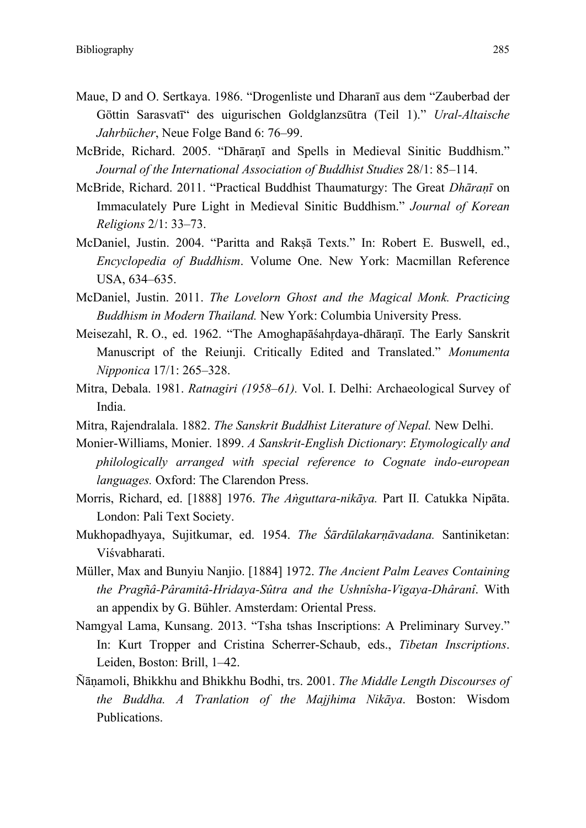- Maue, D and O. Sertkaya. 1986. "Drogenliste und Dharanī aus dem "Zauberbad der Göttin Sarasvatī" des uigurischen Goldglanzsūtra (Teil 1)." *Ural-Altaische Jahrbücher*, Neue Folge Band 6: 76–99.
- McBride, Richard. 2005. "Dhāraṇī and Spells in Medieval Sinitic Buddhism." *Journal of the International Association of Buddhist Studies* 28/1: 85–114.
- McBride, Richard. 2011. "Practical Buddhist Thaumaturgy: The Great *Dhāraṇī* on Immaculately Pure Light in Medieval Sinitic Buddhism." *Journal of Korean Religions* 2/1: 33–73.
- McDaniel, Justin. 2004. "Paritta and Rakṣā Texts." In: Robert E. Buswell, ed., *Encyclopedia of Buddhism*. Volume One. New York: Macmillan Reference USA, 634–635.
- McDaniel, Justin. 2011. *The Lovelorn Ghost and the Magical Monk. Practicing Buddhism in Modern Thailand.* New York: Columbia University Press.
- Meisezahl, R. O., ed. 1962. "The Amoghapāśahrdaya-dhāranī. The Early Sanskrit Manuscript of the Reiunji. Critically Edited and Translated." *Monumenta Nipponica* 17/1: 265–328.
- Mitra, Debala. 1981. *Ratnagiri (1958–61).* Vol. I. Delhi: Archaeological Survey of India.
- Mitra, Rajendralala. 1882. *The Sanskrit Buddhist Literature of Nepal.* New Delhi.
- Monier-Williams, Monier. 1899. *A Sanskrit-English Dictionary*: *Etymologically and philologically arranged with special reference to Cognate indo-european languages.* Oxford: The Clarendon Press.
- Morris, Richard, ed. [1888] 1976. *The Aṅguttara-nikāya.* Part II*.* Catukka Nipāta. London: Pali Text Society.
- Mukhopadhyaya, Sujitkumar, ed. 1954. *The Śārdūlakarṇāvadana.* Santiniketan: Viśvabharati.
- Müller, Max and Bunyiu Nanjio. [1884] 1972. *The Ancient Palm Leaves Containing the Pragñâ-Pâramitâ-Hridaya-Sûtra and the Ushnîsha-Vigaya-Dhâranî*. With an appendix by G. Bühler. Amsterdam: Oriental Press.
- Namgyal Lama, Kunsang. 2013. "Tsha tshas Inscriptions: A Preliminary Survey." In: Kurt Tropper and Cristina Scherrer-Schaub, eds., *Tibetan Inscriptions*. Leiden, Boston: Brill, 1–42.
- Ñāṇamoli, Bhikkhu and Bhikkhu Bodhi, trs. 2001. *The Middle Length Discourses of the Buddha. A Tranlation of the Majjhima Nikāya*. Boston: Wisdom Publications.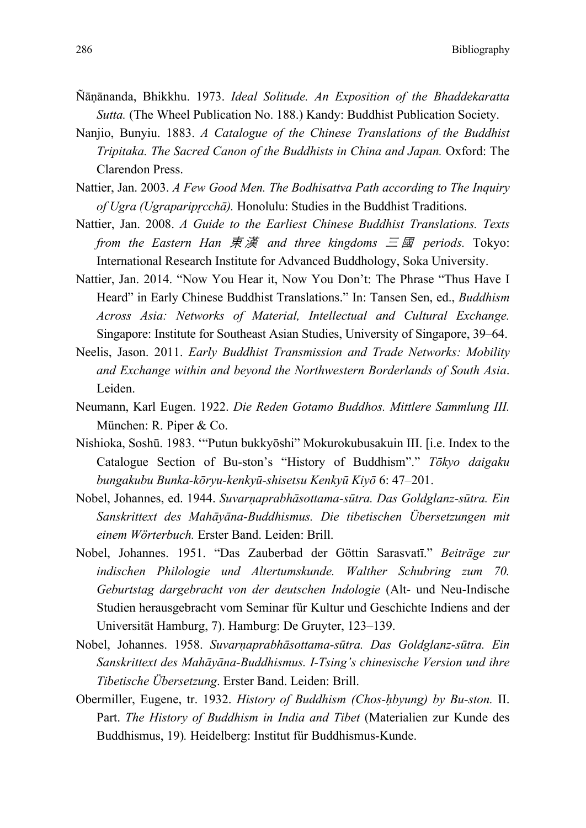- Ñāṇānanda, Bhikkhu. 1973. *Ideal Solitude. An Exposition of the Bhaddekaratta Sutta.* (The Wheel Publication No. 188.) Kandy: Buddhist Publication Society.
- Nanjio, Bunyiu. 1883. *A Catalogue of the Chinese Translations of the Buddhist Tripitaka. The Sacred Canon of the Buddhists in China and Japan.* Oxford: The Clarendon Press.
- Nattier, Jan. 2003. *A Few Good Men. The Bodhisattva Path according to The Inquiry of Ugra (Ugrapariprcchā).* Honolulu: Studies in the Buddhist Traditions.
- Nattier, Jan. 2008. *A Guide to the Earliest Chinese Buddhist Translations. Texts from the Eastern Han*  $\bar{\mathcal{F}}$   $\bar{\mathcal{F}}$  *and three kingdoms*  $\bar{\mathcal{F}}$  $\bar{\mathcal{B}}$  *periods. Tokyo:* International Research Institute for Advanced Buddhology, Soka University.
- Nattier, Jan. 2014. "Now You Hear it, Now You Don't: The Phrase "Thus Have I Heard" in Early Chinese Buddhist Translations." In: Tansen Sen, ed., *Buddhism Across Asia: Networks of Material, Intellectual and Cultural Exchange.* Singapore: Institute for Southeast Asian Studies, University of Singapore, 39–64.
- Neelis, Jason. 2011. *Early Buddhist Transmission and Trade Networks: Mobility and Exchange within and beyond the Northwestern Borderlands of South Asia*. Leiden.
- Neumann, Karl Eugen. 1922. *Die Reden Gotamo Buddhos. Mittlere Sammlung III.* München: R. Piper & Co.
- Nishioka, Soshū. 1983. '"Putun bukkyōshi" Mokurokubusakuin III. [i.e. Index to the Catalogue Section of Bu-ston's "History of Buddhism"." *Tōkyo daigaku bungakubu Bunka-kōryu-kenkyū-shisetsu Kenkyū Kiyō* 6: 47–201.
- Nobel, Johannes, ed. 1944. *Suvarṇaprabhāsottama-sūtra. Das Goldglanz-sūtra. Ein Sanskrittext des Mahāyāna-Buddhismus. Die tibetischen Übersetzungen mit einem Wörterbuch.* Erster Band. Leiden: Brill.
- Nobel, Johannes. 1951. "Das Zauberbad der Göttin Sarasvatī." *Beiträge zur indischen Philologie und Altertumskunde. Walther Schubring zum 70. Geburtstag dargebracht von der deutschen Indologie* (Alt- und Neu-Indische Studien herausgebracht vom Seminar für Kultur und Geschichte Indiens and der Universität Hamburg, 7). Hamburg: De Gruyter, 123–139.
- Nobel, Johannes. 1958. *Suvarṇaprabhāsottama-sūtra. Das Goldglanz-sūtra. Ein Sanskrittext des Mahāyāna-Buddhismus. I-Tsing's chinesische Version und ihre Tibetische Übersetzung*. Erster Band. Leiden: Brill.
- Obermiller, Eugene, tr. 1932. *History of Buddhism (Chos-ḥbyung) by Bu-ston.* II. Part. *The History of Buddhism in India and Tibet* (Materialien zur Kunde des Buddhismus, 19)*.* Heidelberg: Institut für Buddhismus-Kunde.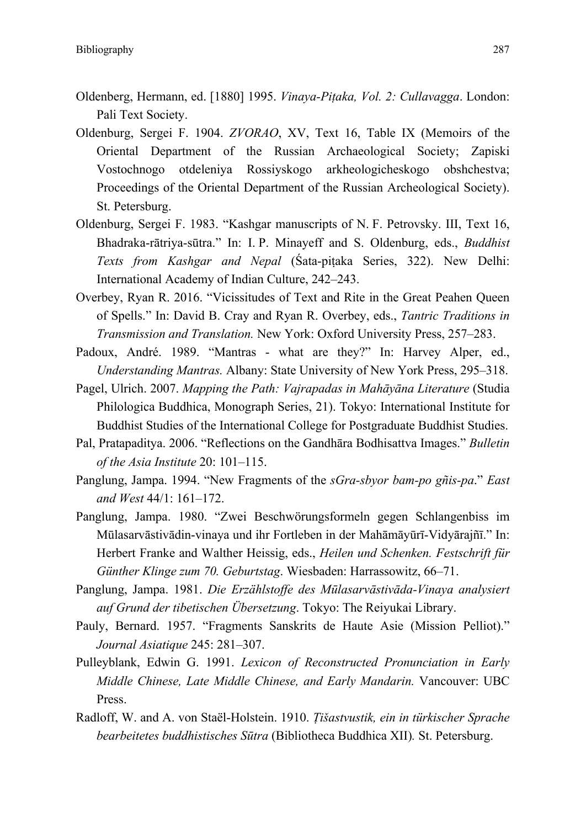- Oldenberg, Hermann, ed. [1880] 1995. *Vinaya-Piṭaka, Vol. 2: Cullavagga*. London: Pali Text Society.
- Oldenburg, Sergei F. 1904. *ZVORAO*, XV, Text 16, Table IX (Memoirs of the Oriental Department of the Russian Archaeological Society; Zapiski Vostochnogo otdeleniya Rossiyskogo arkheologicheskogo obshchestva; Proceedings of the Oriental Department of the Russian Archeological Society). St. Petersburg.
- Oldenburg, Sergei F. 1983. "Kashgar manuscripts of N. F. Petrovsky. III, Text 16, Bhadraka-rātriya-sūtra." In: I. P. Minayeff and S. Oldenburg, eds., *Buddhist Texts from Kashgar and Nepal* (Śata-piṭaka Series, 322). New Delhi: International Academy of Indian Culture, 242–243.
- Overbey, Ryan R. 2016. "Vicissitudes of Text and Rite in the Great Peahen Queen of Spells." In: David B. Cray and Ryan R. Overbey, eds., *Tantric Traditions in Transmission and Translation.* New York: Oxford University Press, 257–283.
- Padoux, André. 1989. "Mantras what are they?" In: Harvey Alper, ed., *Understanding Mantras.* Albany: State University of New York Press, 295–318.
- Pagel, Ulrich. 2007. *Mapping the Path: Vajrapadas in Mahāyāna Literature* (Studia Philologica Buddhica, Monograph Series, 21). Tokyo: International Institute for Buddhist Studies of the International College for Postgraduate Buddhist Studies.
- Pal, Pratapaditya. 2006. "Reflections on the Gandhāra Bodhisattva Images." *Bulletin of the Asia Institute* 20: 101–115.
- Panglung, Jampa. 1994. "New Fragments of the *sGra-sbyor bam-po gñis-pa*." *East and West* 44/1: 161–172.
- Panglung, Jampa. 1980. "Zwei Beschwörungsformeln gegen Schlangenbiss im Mūlasarvāstivādin-vinaya und ihr Fortleben in der Mahāmāyūrī-Vidyārajñī." In: Herbert Franke and Walther Heissig, eds., *Heilen und Schenken. Festschrift für Günther Klinge zum 70. Geburtstag*. Wiesbaden: Harrassowitz, 66–71.
- Panglung, Jampa. 1981. *Die Erzählstoffe des Mūlasarvāstivāda-Vinaya analysiert auf Grund der tibetischen Übersetzung*. Tokyo: The Reiyukai Library.
- Pauly, Bernard. 1957. "Fragments Sanskrits de Haute Asie (Mission Pelliot)." *Journal Asiatique* 245: 281–307.
- Pulleyblank, Edwin G. 1991. *Lexicon of Reconstructed Pronunciation in Early Middle Chinese, Late Middle Chinese, and Early Mandarin.* Vancouver: UBC Press.
- Radloff, W. and A. von Staël-Holstein. 1910. *Ṭišastvustik, ein in türkischer Sprache bearbeitetes buddhistisches Sūtra* (Bibliotheca Buddhica XII)*.* St. Petersburg.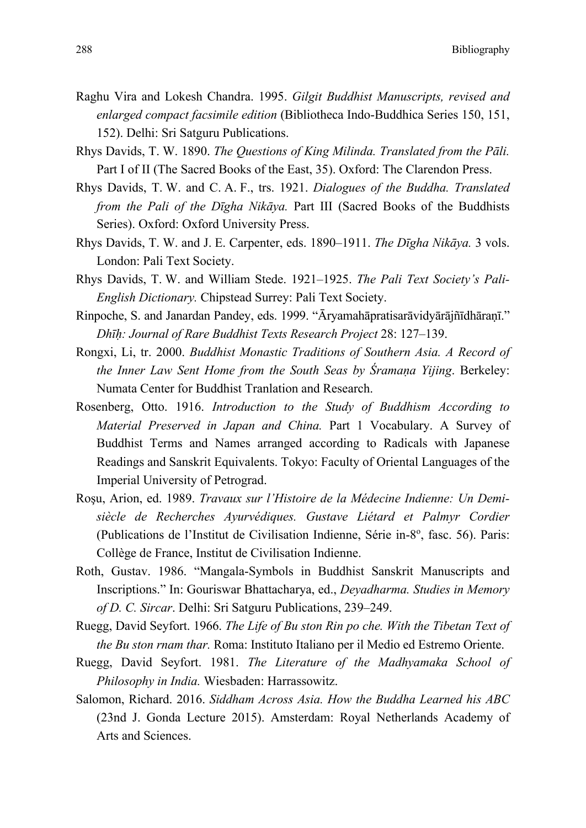- Raghu Vira and Lokesh Chandra. 1995. *Gilgit Buddhist Manuscripts, revised and enlarged compact facsimile edition* (Bibliotheca Indo-Buddhica Series 150, 151, 152). Delhi: Sri Satguru Publications.
- Rhys Davids, T. W. 1890. *The Questions of King Milinda. Translated from the Pāli.*  Part I of II (The Sacred Books of the East, 35). Oxford: The Clarendon Press.
- Rhys Davids, T. W. and C. A. F., trs. 1921. *Dialogues of the Buddha. Translated from the Pali of the Dīgha Nikāya.* Part III (Sacred Books of the Buddhists Series). Oxford: Oxford University Press.
- Rhys Davids, T. W. and J. E. Carpenter, eds. 1890–1911. *The Dīgha Nikāya.* 3 vols. London: Pali Text Society.
- Rhys Davids, T. W. and William Stede. 1921–1925. *The Pali Text Society's Pali-English Dictionary.* Chipstead Surrey: Pali Text Society.
- Rinpoche, S. and Janardan Pandey, eds. 1999. "Āryamahāpratisarāvidyārājñīdhāraṇī." *Dhīḥ: Journal of Rare Buddhist Texts Research Project* 28: 127–139.
- Rongxi, Li, tr. 2000. *Buddhist Monastic Traditions of Southern Asia. A Record of the Inner Law Sent Home from the South Seas by Śramaṇa Yijing*. Berkeley: Numata Center for Buddhist Tranlation and Research.
- Rosenberg, Otto. 1916. *Introduction to the Study of Buddhism According to Material Preserved in Japan and China.* Part 1 Vocabulary. A Survey of Buddhist Terms and Names arranged according to Radicals with Japanese Readings and Sanskrit Equivalents. Tokyo: Faculty of Oriental Languages of the Imperial University of Petrograd.
- Roşu, Arion, ed. 1989. *Travaux sur l'Histoire de la Médecine Indienne: Un Demisiècle de Recherches Ayurvédiques. Gustave Liétard et Palmyr Cordier* (Publications de l'Institut de Civilisation Indienne, Série in-8°, fasc. 56). Paris: Collège de France, Institut de Civilisation Indienne.
- Roth, Gustav. 1986. "Mangala-Symbols in Buddhist Sanskrit Manuscripts and Inscriptions." In: Gouriswar Bhattacharya, ed., *Deyadharma. Studies in Memory of D. C. Sircar*. Delhi: Sri Satguru Publications, 239–249.
- Ruegg, David Seyfort. 1966. *The Life of Bu ston Rin po che. With the Tibetan Text of the Bu ston rnam thar.* Roma: Instituto Italiano per il Medio ed Estremo Oriente.
- Ruegg, David Seyfort. 1981. *The Literature of the Madhyamaka School of Philosophy in India.* Wiesbaden: Harrassowitz.
- Salomon, Richard. 2016. *Siddham Across Asia. How the Buddha Learned his ABC* (23nd J. Gonda Lecture 2015). Amsterdam: Royal Netherlands Academy of Arts and Sciences.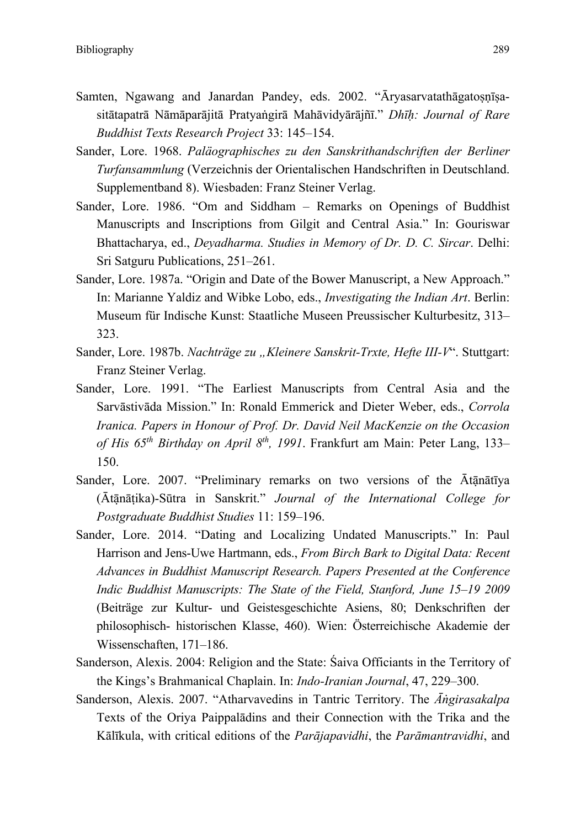- Samten, Ngawang and Janardan Pandey, eds. 2002. "Āryasarvatathāgatosnīsasitātapatrā Nāmāparājitā Pratyaṅgirā Mahāvidyārājñī." *Dhīḥ: Journal of Rare Buddhist Texts Research Project* 33: 145–154.
- Sander, Lore. 1968. *Paläographisches zu den Sanskrithandschriften der Berliner Turfansammlung* (Verzeichnis der Orientalischen Handschriften in Deutschland. Supplementband 8). Wiesbaden: Franz Steiner Verlag.
- Sander, Lore. 1986. "Om and Siddham Remarks on Openings of Buddhist Manuscripts and Inscriptions from Gilgit and Central Asia." In: Gouriswar Bhattacharya, ed., *Deyadharma. Studies in Memory of Dr. D. C. Sircar*. Delhi: Sri Satguru Publications, 251–261.
- Sander, Lore. 1987a. "Origin and Date of the Bower Manuscript, a New Approach." In: Marianne Yaldiz and Wibke Lobo, eds., *Investigating the Indian Art*. Berlin: Museum für Indische Kunst: Staatliche Museen Preussischer Kulturbesitz, 313– 323.
- Sander, Lore. 1987b. *Nachträge zu "Kleinere Sanskrit-Trxte, Hefte III-V*". Stuttgart: Franz Steiner Verlag.
- Sander, Lore. 1991. "The Earliest Manuscripts from Central Asia and the Sarvāstivāda Mission." In: Ronald Emmerick and Dieter Weber, eds., *Corrola Iranica. Papers in Honour of Prof. Dr. David Neil MacKenzie on the Occasion of His 65th Birthday on April 8th, 1991*. Frankfurt am Main: Peter Lang, 133– 150.
- Sander, Lore. 2007. "Preliminary remarks on two versions of the Ātānātīya (Ātānạ̄ ṭika)-Sūtra in Sanskrit." *Journal of the International College for Postgraduate Buddhist Studies* 11: 159–196.
- Sander, Lore. 2014. "Dating and Localizing Undated Manuscripts." In: Paul Harrison and Jens-Uwe Hartmann, eds., *From Birch Bark to Digital Data: Recent Advances in Buddhist Manuscript Research. Papers Presented at the Conference Indic Buddhist Manuscripts: The State of the Field, Stanford, June 15–19 2009*  (Beiträge zur Kultur- und Geistesgeschichte Asiens, 80; Denkschriften der philosophisch- historischen Klasse, 460). Wien: Österreichische Akademie der Wissenschaften, 171–186.
- Sanderson, Alexis. 2004: Religion and the State: Śaiva Officiants in the Territory of the Kings's Brahmanical Chaplain. In: *Indo-Iranian Journal*, 47, 229–300.
- Sanderson, Alexis. 2007. "Atharvavedins in Tantric Territory. The *Āṅgirasakalpa* Texts of the Oriya Paippalādins and their Connection with the Trika and the Kālīkula, with critical editions of the *Parājapavidhi*, the *Parāmantravidhi*, and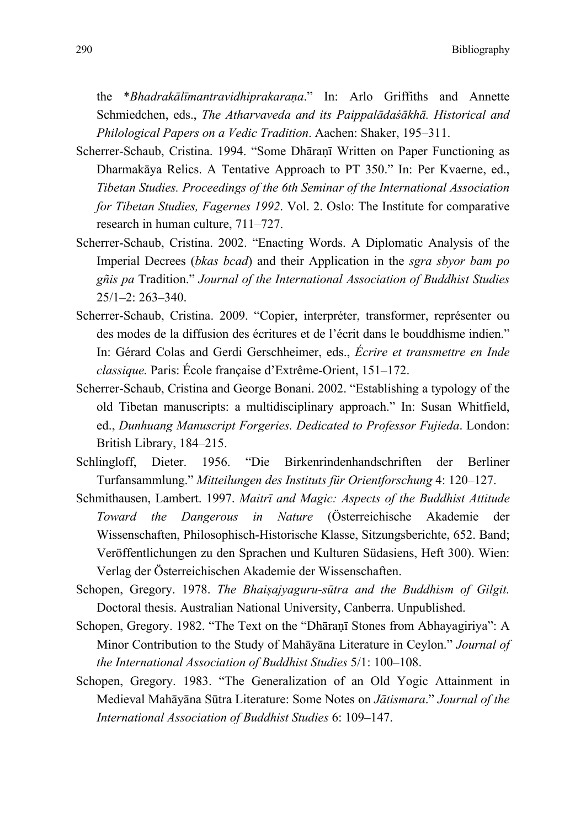the \**Bhadrakālīmantravidhiprakaraṇa*." In: Arlo Griffiths and Annette Schmiedchen, eds., *The Atharvaveda and its Paippalādaśākhā. Historical and Philological Papers on a Vedic Tradition*. Aachen: Shaker, 195–311.

- Scherrer-Schaub, Cristina. 1994. "Some Dhāraṇī Written on Paper Functioning as Dharmakāya Relics. A Tentative Approach to PT 350." In: Per Kvaerne, ed., *Tibetan Studies. Proceedings of the 6th Seminar of the International Association for Tibetan Studies, Fagernes 1992*. Vol. 2. Oslo: The Institute for comparative research in human culture, 711–727.
- Scherrer-Schaub, Cristina. 2002. "Enacting Words. A Diplomatic Analysis of the Imperial Decrees (*bkas bcad*) and their Application in the *sgra sbyor bam po gñis pa* Tradition." *Journal of the International Association of Buddhist Studies* 25/1–2: 263–340.
- Scherrer-Schaub, Cristina. 2009. "Copier, interpréter, transformer, représenter ou des modes de la diffusion des écritures et de l'écrit dans le bouddhisme indien." In: Gérard Colas and Gerdi Gerschheimer, eds., *Écrire et transmettre en Inde classique.* Paris: École française d'Extrême-Orient, 151–172.
- Scherrer-Schaub, Cristina and George Bonani. 2002. "Establishing a typology of the old Tibetan manuscripts: a multidisciplinary approach." In: Susan Whitfield, ed., *Dunhuang Manuscript Forgeries. Dedicated to Professor Fujieda*. London: British Library, 184–215.
- Schlingloff, Dieter. 1956. "Die Birkenrindenhandschriften der Berliner Turfansammlung." *Mitteilungen des Instituts für Orientforschung* 4: 120–127.
- Schmithausen, Lambert. 1997. *Maitrī and Magic: Aspects of the Buddhist Attitude Toward the Dangerous in Nature* (Österreichische Akademie der Wissenschaften, Philosophisch-Historische Klasse, Sitzungsberichte, 652. Band; Veröffentlichungen zu den Sprachen und Kulturen Südasiens, Heft 300). Wien: Verlag der Österreichischen Akademie der Wissenschaften.
- Schopen, Gregory. 1978. *The Bhaiṣajyaguru-sūtra and the Buddhism of Gilgit.* Doctoral thesis. Australian National University, Canberra. Unpublished.
- Schopen, Gregory. 1982. "The Text on the "Dhāraṇī Stones from Abhayagiriya": A Minor Contribution to the Study of Mahāyāna Literature in Ceylon." *Journal of the International Association of Buddhist Studies* 5/1: 100–108.
- Schopen, Gregory. 1983. "The Generalization of an Old Yogic Attainment in Medieval Mahāyāna Sūtra Literature: Some Notes on *Jātismara*." *Journal of the International Association of Buddhist Studies* 6: 109–147.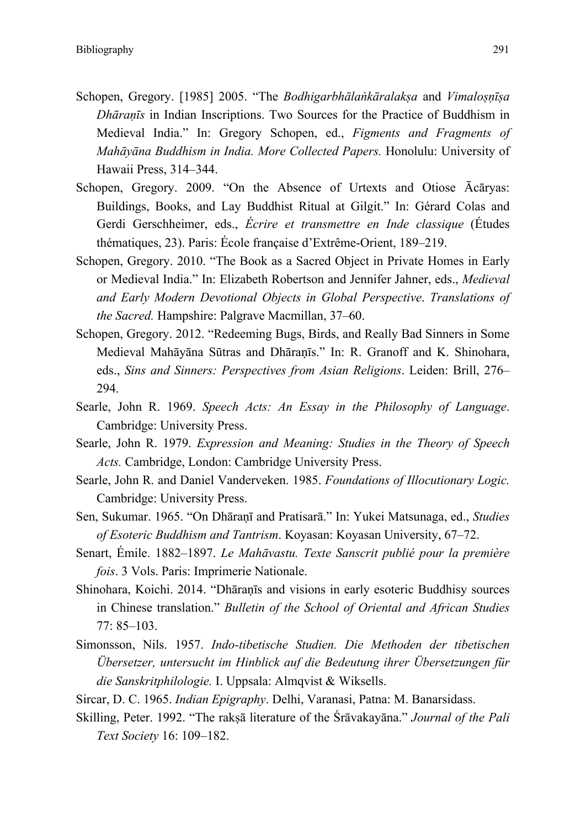- Schopen, Gregory. [1985] 2005. "The *Bodhigarbhālaṅkāralakṣa* and *Vimaloṣṇīṣa Dhāraṇīs* in Indian Inscriptions. Two Sources for the Practice of Buddhism in Medieval India." In: Gregory Schopen, ed., *Figments and Fragments of Mahāyāna Buddhism in India. More Collected Papers.* Honolulu: University of Hawaii Press, 314–344.
- Schopen, Gregory. 2009. "On the Absence of Urtexts and Otiose Ācāryas: Buildings, Books, and Lay Buddhist Ritual at Gilgit." In: Gérard Colas and Gerdi Gerschheimer, eds., *Écrire et transmettre en Inde classique* (Études thématiques, 23). Paris: École française d'Extrême-Orient, 189–219.
- Schopen, Gregory. 2010. "The Book as a Sacred Object in Private Homes in Early or Medieval India." In: Elizabeth Robertson and Jennifer Jahner, eds., *Medieval and Early Modern Devotional Objects in Global Perspective*. *Translations of the Sacred.* Hampshire: Palgrave Macmillan, 37–60.
- Schopen, Gregory. 2012. "Redeeming Bugs, Birds, and Really Bad Sinners in Some Medieval Mahāyāna Sūtras and Dhāraṇīs." In: R. Granoff and K. Shinohara, eds., *Sins and Sinners: Perspectives from Asian Religions*. Leiden: Brill, 276– 294.
- Searle, John R. 1969. *Speech Acts: An Essay in the Philosophy of Language*. Cambridge: University Press.
- Searle, John R. 1979. *Expression and Meaning: Studies in the Theory of Speech Acts.* Cambridge, London: Cambridge University Press.
- Searle, John R. and Daniel Vanderveken. 1985. *Foundations of Illocutionary Logic.* Cambridge: University Press.
- Sen, Sukumar. 1965. "On Dhāraṇī and Pratisarā." In: Yukei Matsunaga, ed., *Studies of Esoteric Buddhism and Tantrism*. Koyasan: Koyasan University, 67–72.
- Senart, Émile. 1882–1897. *Le Mahāvastu. Texte Sanscrit publié pour la première fois*. 3 Vols. Paris: Imprimerie Nationale.
- Shinohara, Koichi. 2014. "Dhāraṇīs and visions in early esoteric Buddhisy sources in Chinese translation." *Bulletin of the School of Oriental and African Studies*  77: 85–103.
- Simonsson, Nils. 1957. *Indo-tibetische Studien. Die Methoden der tibetischen Übersetzer, untersucht im Hinblick auf die Bedeutung ihrer Übersetzungen für die Sanskritphilologie.* I. Uppsala: Almqvist & Wiksells.
- Sircar, D. C. 1965. *Indian Epigraphy*. Delhi, Varanasi, Patna: M. Banarsidass.
- Skilling, Peter. 1992. "The rakṣā literature of the Śrāvakayāna." *Journal of the Pali Text Society* 16: 109–182.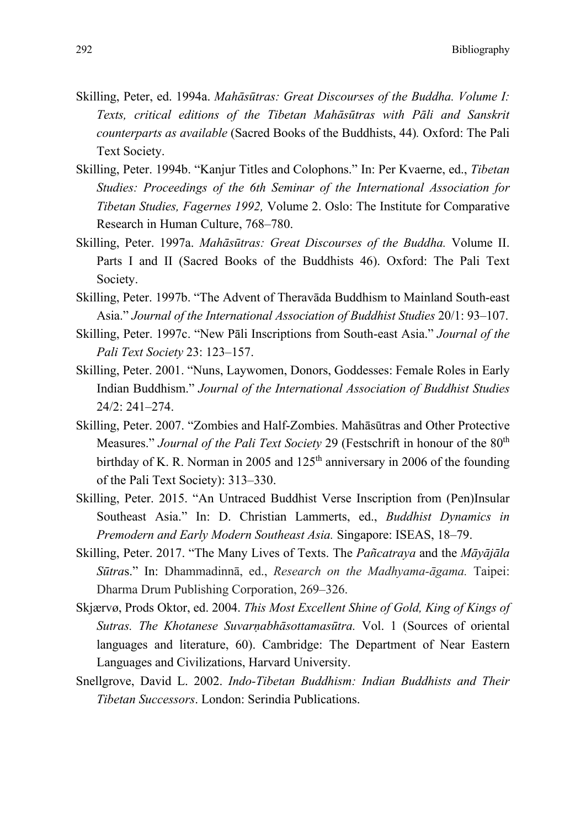- Skilling, Peter, ed. 1994a. *Mahāsūtras: Great Discourses of the Buddha. Volume I: Texts, critical editions of the Tibetan Mahāsūtras with Pāli and Sanskrit counterparts as available* (Sacred Books of the Buddhists, 44)*.* Oxford: The Pali Text Society.
- Skilling, Peter. 1994b. "Kanjur Titles and Colophons." In: Per Kvaerne, ed., *Tibetan Studies: Proceedings of the 6th Seminar of the International Association for Tibetan Studies, Fagernes 1992,* Volume 2. Oslo: The Institute for Comparative Research in Human Culture, 768–780.
- Skilling, Peter. 1997a. *Mahāsūtras: Great Discourses of the Buddha.* Volume II. Parts I and II (Sacred Books of the Buddhists 46). Oxford: The Pali Text Society.
- Skilling, Peter. 1997b. "The Advent of Theravāda Buddhism to Mainland South-east Asia." *Journal of the International Association of Buddhist Studies* 20/1: 93–107.
- Skilling, Peter. 1997c. "New Pāli Inscriptions from South-east Asia." *Journal of the Pali Text Society* 23: 123–157.
- Skilling, Peter. 2001. "Nuns, Laywomen, Donors, Goddesses: Female Roles in Early Indian Buddhism." *Journal of the International Association of Buddhist Studies* 24/2: 241–274.
- Skilling, Peter. 2007. "Zombies and Half-Zombies. Mahāsūtras and Other Protective Measures." *Journal of the Pali Text Society* 29 (Festschrift in honour of the 80<sup>th</sup> birthday of K. R. Norman in 2005 and  $125<sup>th</sup>$  anniversary in 2006 of the founding of the Pali Text Society): 313–330.
- Skilling, Peter. 2015. "An Untraced Buddhist Verse Inscription from (Pen)Insular Southeast Asia." In: D. Christian Lammerts, ed., *Buddhist Dynamics in Premodern and Early Modern Southeast Asia.* Singapore: ISEAS, 18–79.
- Skilling, Peter. 2017. "The Many Lives of Texts. The *Pañcatraya* and the *Māyājāla Sūtra*s." In: Dhammadinnā, ed., *Research on the Madhyama-āgama.* Taipei: Dharma Drum Publishing Corporation, 269–326.
- Skjærvø, Prods Oktor, ed. 2004. *This Most Excellent Shine of Gold, King of Kings of Sutras. The Khotanese Suvarṇabhāsottamasūtra.* Vol. 1 (Sources of oriental languages and literature, 60). Cambridge: The Department of Near Eastern Languages and Civilizations, Harvard University.
- Snellgrove, David L. 2002. *Indo-Tibetan Buddhism: Indian Buddhists and Their Tibetan Successors*. London: Serindia Publications.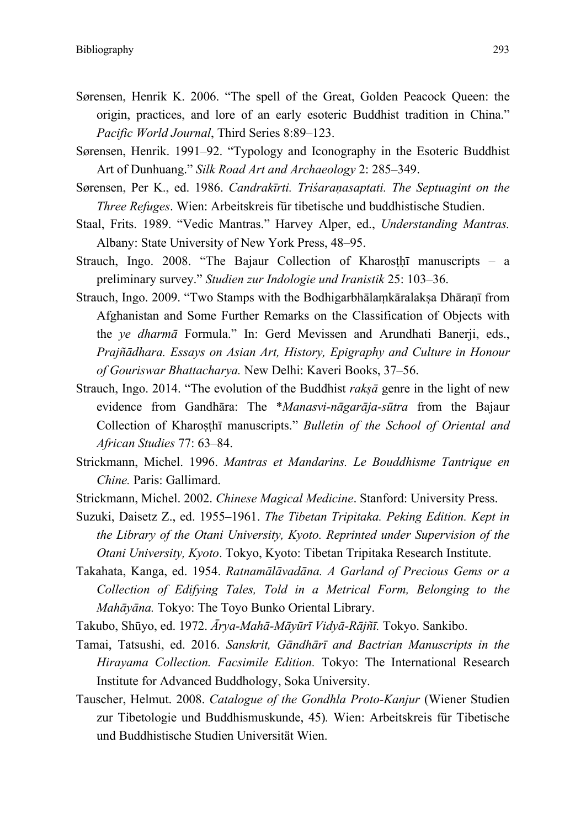- Sørensen, Henrik K. 2006. "The spell of the Great, Golden Peacock Queen: the origin, practices, and lore of an early esoteric Buddhist tradition in China." *Pacific World Journal*, Third Series 8:89–123.
- Sørensen, Henrik. 1991–92. "Typology and Iconography in the Esoteric Buddhist Art of Dunhuang." *Silk Road Art and Archaeology* 2: 285–349.
- Sørensen, Per K., ed. 1986. *Candrakīrti. Triśaraṇasaptati. The Septuagint on the Three Refuges*. Wien: Arbeitskreis für tibetische und buddhistische Studien.
- Staal, Frits. 1989. "Vedic Mantras." Harvey Alper, ed., *Understanding Mantras.*  Albany: State University of New York Press, 48–95.
- Strauch, Ingo.  $2008$ . "The Bajaur Collection of Kharosthi manuscripts a preliminary survey." *Studien zur Indologie und Iranistik* 25: 103–36.
- Strauch, Ingo. 2009. "Two Stamps with the Bodhigarbhālaṃkāralakṣa Dhāraṇī from Afghanistan and Some Further Remarks on the Classification of Objects with the *ye dharmā* Formula." In: Gerd Mevissen and Arundhati Banerji, eds., *Prajñādhara. Essays on Asian Art, History, Epigraphy and Culture in Honour of Gouriswar Bhattacharya.* New Delhi: Kaveri Books, 37–56.
- Strauch, Ingo. 2014. "The evolution of the Buddhist *rakṣā* genre in the light of new evidence from Gandhāra: The \**Manasvi-nāgarāja-sūtra* from the Bajaur Collection of Kharoṣṭhī manuscripts." *Bulletin of the School of Oriental and African Studies* 77: 63–84.
- Strickmann, Michel. 1996. *Mantras et Mandarins. Le Bouddhisme Tantrique en Chine.* Paris: Gallimard.
- Strickmann, Michel. 2002. *Chinese Magical Medicine*. Stanford: University Press.
- Suzuki, Daisetz Z., ed. 1955–1961. *The Tibetan Tripitaka. Peking Edition. Kept in the Library of the Otani University, Kyoto. Reprinted under Supervision of the Otani University, Kyoto*. Tokyo, Kyoto: Tibetan Tripitaka Research Institute.
- Takahata, Kanga, ed. 1954. *Ratnamālāvadāna. A Garland of Precious Gems or a Collection of Edifying Tales, Told in a Metrical Form, Belonging to the Mahāyāna.* Tokyo: The Toyo Bunko Oriental Library.
- Takubo, Shūyo, ed. 1972. *Ārya-Mahā-Māyūrī Vidyā-Rājñī.* Tokyo. Sankibo.
- Tamai, Tatsushi, ed. 2016. *Sanskrit, Gāndhārī and Bactrian Manuscripts in the Hirayama Collection. Facsimile Edition.* Tokyo: The International Research Institute for Advanced Buddhology, Soka University.
- Tauscher, Helmut. 2008. *Catalogue of the Gondhla Proto-Kanjur* (Wiener Studien zur Tibetologie und Buddhismuskunde, 45)*.* Wien: Arbeitskreis für Tibetische und Buddhistische Studien Universität Wien.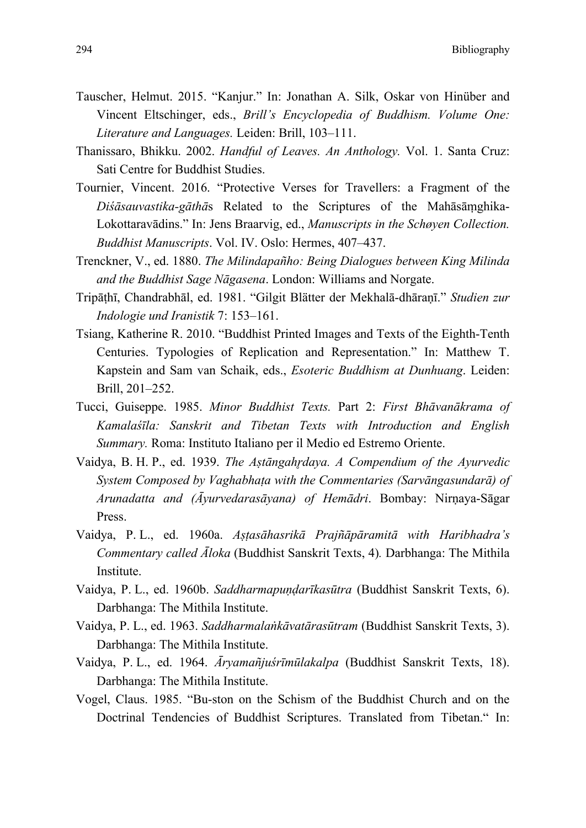294 Bibliography

- Tauscher, Helmut. 2015. "Kanjur." In: Jonathan A. Silk, Oskar von Hinüber and Vincent Eltschinger, eds., *Brill's Encyclopedia of Buddhism. Volume One: Literature and Languages.* Leiden: Brill, 103–111.
- Thanissaro, Bhikku. 2002. *Handful of Leaves. An Anthology.* Vol. 1. Santa Cruz: Sati Centre for Buddhist Studies.
- Tournier, Vincent. 2016. "Protective Verses for Travellers: a Fragment of the *Diśāsauvastika-gāthā*s Related to the Scriptures of the Mahāsāṃghika-Lokottaravādins." In: Jens Braarvig, ed., *Manuscripts in the Schøyen Collection. Buddhist Manuscripts*. Vol. IV. Oslo: Hermes, 407–437.
- Trenckner, V., ed. 1880. *The Milindapañho: Being Dialogues between King Milinda and the Buddhist Sage Nāgasena*. London: Williams and Norgate.
- Tripāṭhī, Chandrabhāl, ed. 1981. "Gilgit Blätter der Mekhalā-dhāraṇī." *Studien zur Indologie und Iranistik* 7: 153–161.
- Tsiang, Katherine R. 2010. "Buddhist Printed Images and Texts of the Eighth-Tenth Centuries. Typologies of Replication and Representation." In: Matthew T. Kapstein and Sam van Schaik, eds., *Esoteric Buddhism at Dunhuang*. Leiden: Brill, 201–252.
- Tucci, Guiseppe. 1985. *Minor Buddhist Texts.* Part 2: *First Bhāvanākrama of Kamalaśīla: Sanskrit and Tibetan Texts with Introduction and English Summary.* Roma: Instituto Italiano per il Medio ed Estremo Oriente.
- Vaidya, B. H. P., ed. 1939. *The Aṣtāngahr̥daya. A Compendium of the Ayurvedic System Composed by Vaghabhaṭa with the Commentaries (Sarvāngasundarā) of Arunadatta and (Āyurvedarasāyana) of Hemādri*. Bombay: Nirṇaya-Sāgar Press.
- Vaidya, P. L., ed. 1960a. *Aṣṭasāhasrikā Prajñāpāramitā with Haribhadra's Commentary called Āloka* (Buddhist Sanskrit Texts, 4)*.* Darbhanga: The Mithila Institute.
- Vaidya, P. L., ed. 1960b. *Saddharmapuṇḍarīkasūtra* (Buddhist Sanskrit Texts, 6). Darbhanga: The Mithila Institute.
- Vaidya, P. L., ed. 1963. *Saddharmalaṅkāvatārasūtram* (Buddhist Sanskrit Texts, 3). Darbhanga: The Mithila Institute.
- Vaidya, P. L., ed. 1964. *Āryamañjuśrīmūlakalpa* (Buddhist Sanskrit Texts, 18). Darbhanga: The Mithila Institute.
- Vogel, Claus. 1985. "Bu-ston on the Schism of the Buddhist Church and on the Doctrinal Tendencies of Buddhist Scriptures. Translated from Tibetan." In: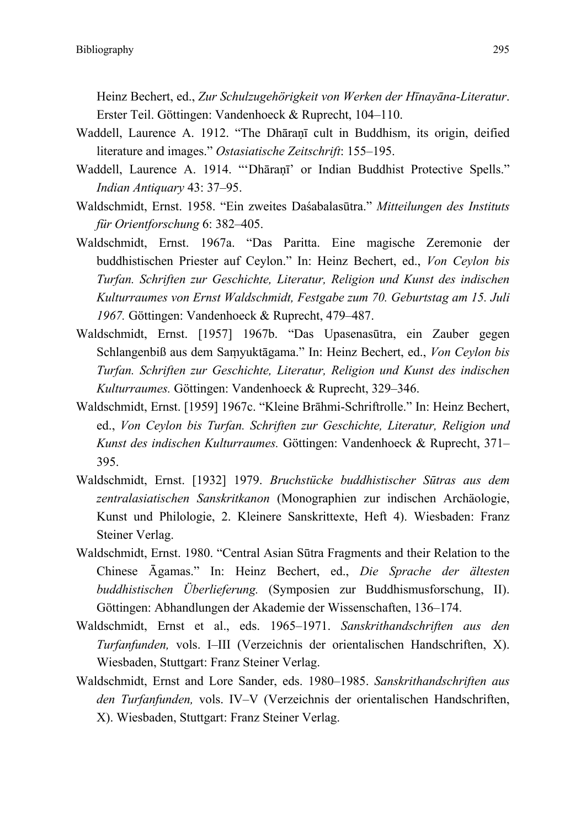Heinz Bechert, ed., *Zur Schulzugehörigkeit von Werken der Hīnayāna-Literatur*. Erster Teil. Göttingen: Vandenhoeck & Ruprecht, 104–110.

- Waddell, Laurence A. 1912. "The Dhāraṇī cult in Buddhism, its origin, deified literature and images." *Ostasiatische Zeitschrift*: 155–195.
- Waddell, Laurence A. 1914. "'Dhāranī' or Indian Buddhist Protective Spells." *Indian Antiquary* 43: 37–95.
- Waldschmidt, Ernst. 1958. "Ein zweites Daśabalasūtra." *Mitteilungen des Instituts für Orientforschung* 6: 382–405.
- Waldschmidt, Ernst. 1967a. "Das Paritta. Eine magische Zeremonie der buddhistischen Priester auf Ceylon." In: Heinz Bechert, ed., *Von Ceylon bis Turfan. Schriften zur Geschichte, Literatur, Religion und Kunst des indischen Kulturraumes von Ernst Waldschmidt, Festgabe zum 70. Geburtstag am 15. Juli 1967.* Göttingen: Vandenhoeck & Ruprecht, 479–487.
- Waldschmidt, Ernst. [1957] 1967b. "Das Upasenasūtra, ein Zauber gegen Schlangenbiß aus dem Saṃyuktāgama." In: Heinz Bechert, ed., *Von Ceylon bis Turfan. Schriften zur Geschichte, Literatur, Religion und Kunst des indischen Kulturraumes.* Göttingen: Vandenhoeck & Ruprecht, 329–346.
- Waldschmidt, Ernst. [1959] 1967c. "Kleine Brāhmi-Schriftrolle." In: Heinz Bechert, ed., *Von Ceylon bis Turfan. Schriften zur Geschichte, Literatur, Religion und Kunst des indischen Kulturraumes.* Göttingen: Vandenhoeck & Ruprecht, 371– 395.
- Waldschmidt, Ernst. [1932] 1979. *Bruchstücke buddhistischer Sūtras aus dem zentralasiatischen Sanskritkanon* (Monographien zur indischen Archäologie, Kunst und Philologie, 2. Kleinere Sanskrittexte, Heft 4). Wiesbaden: Franz Steiner Verlag.
- Waldschmidt, Ernst. 1980. "Central Asian Sūtra Fragments and their Relation to the Chinese Āgamas." In: Heinz Bechert, ed., *Die Sprache der ältesten buddhistischen Überlieferung.* (Symposien zur Buddhismusforschung, II). Göttingen: Abhandlungen der Akademie der Wissenschaften, 136–174.
- Waldschmidt, Ernst et al., eds. 1965–1971. *Sanskrithandschriften aus den Turfanfunden,* vols. I–III (Verzeichnis der orientalischen Handschriften, X). Wiesbaden, Stuttgart: Franz Steiner Verlag.
- Waldschmidt, Ernst and Lore Sander, eds. 1980–1985. *Sanskrithandschriften aus den Turfanfunden,* vols. IV–V (Verzeichnis der orientalischen Handschriften, X). Wiesbaden, Stuttgart: Franz Steiner Verlag.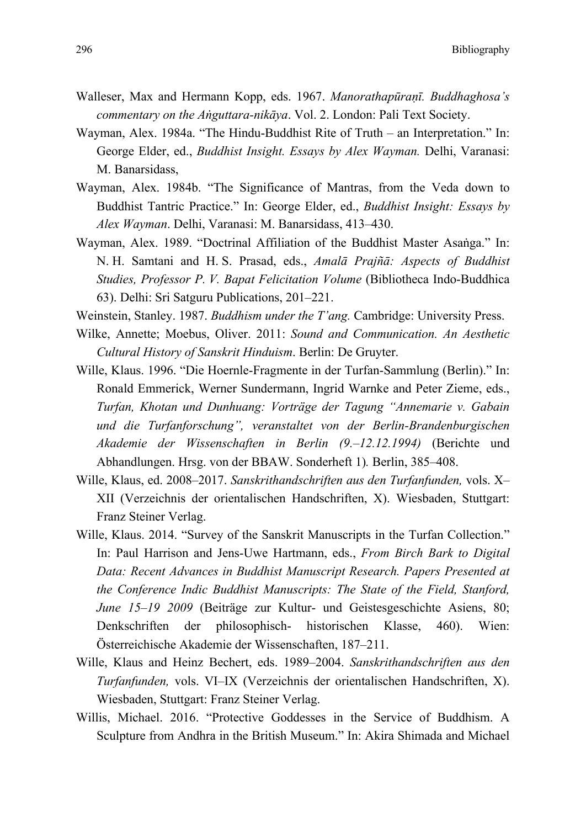- Walleser, Max and Hermann Kopp, eds. 1967. *Manorathapūraṇī. Buddhaghosa's commentary on the Aṅguttara-nikāya*. Vol. 2. London: Pali Text Society.
- Wayman, Alex. 1984a. "The Hindu-Buddhist Rite of Truth an Interpretation." In: George Elder, ed., *Buddhist Insight. Essays by Alex Wayman.* Delhi, Varanasi: M. Banarsidass,
- Wayman, Alex. 1984b. "The Significance of Mantras, from the Veda down to Buddhist Tantric Practice." In: George Elder, ed., *Buddhist Insight: Essays by Alex Wayman*. Delhi, Varanasi: M. Banarsidass, 413–430.
- Wayman, Alex. 1989. "Doctrinal Affiliation of the Buddhist Master Asaṅga." In: N. H. Samtani and H. S. Prasad, eds., *Amalā Prajñā: Aspects of Buddhist Studies, Professor P. V. Bapat Felicitation Volume* (Bibliotheca Indo-Buddhica 63). Delhi: Sri Satguru Publications, 201–221.
- Weinstein, Stanley. 1987. *Buddhism under the T'ang.* Cambridge: University Press.
- Wilke, Annette; Moebus, Oliver. 2011: *Sound and Communication. An Aesthetic Cultural History of Sanskrit Hinduism*. Berlin: De Gruyter.
- Wille, Klaus. 1996. "Die Hoernle-Fragmente in der Turfan-Sammlung (Berlin)." In: Ronald Emmerick, Werner Sundermann, Ingrid Warnke and Peter Zieme, eds., *Turfan, Khotan und Dunhuang: Vorträge der Tagung "Annemarie v. Gabain und die Turfanforschung", veranstaltet von der Berlin-Brandenburgischen Akademie der Wissenschaften in Berlin (9.–12.12.1994)* (Berichte und Abhandlungen. Hrsg. von der BBAW. Sonderheft 1)*.* Berlin, 385–408.
- Wille, Klaus, ed. 2008–2017. *Sanskrithandschriften aus den Turfanfunden,* vols. X– XII (Verzeichnis der orientalischen Handschriften, X). Wiesbaden, Stuttgart: Franz Steiner Verlag.
- Wille, Klaus. 2014. "Survey of the Sanskrit Manuscripts in the Turfan Collection." In: Paul Harrison and Jens-Uwe Hartmann, eds., *From Birch Bark to Digital Data: Recent Advances in Buddhist Manuscript Research. Papers Presented at the Conference Indic Buddhist Manuscripts: The State of the Field, Stanford, June 15–19 2009* (Beiträge zur Kultur- und Geistesgeschichte Asiens, 80; Denkschriften der philosophisch- historischen Klasse, 460). Wien: Österreichische Akademie der Wissenschaften, 187–211.
- Wille, Klaus and Heinz Bechert, eds. 1989–2004. *Sanskrithandschriften aus den Turfanfunden,* vols. VI–IX (Verzeichnis der orientalischen Handschriften, X). Wiesbaden, Stuttgart: Franz Steiner Verlag.
- Willis, Michael. 2016. "Protective Goddesses in the Service of Buddhism. A Sculpture from Andhra in the British Museum." In: Akira Shimada and Michael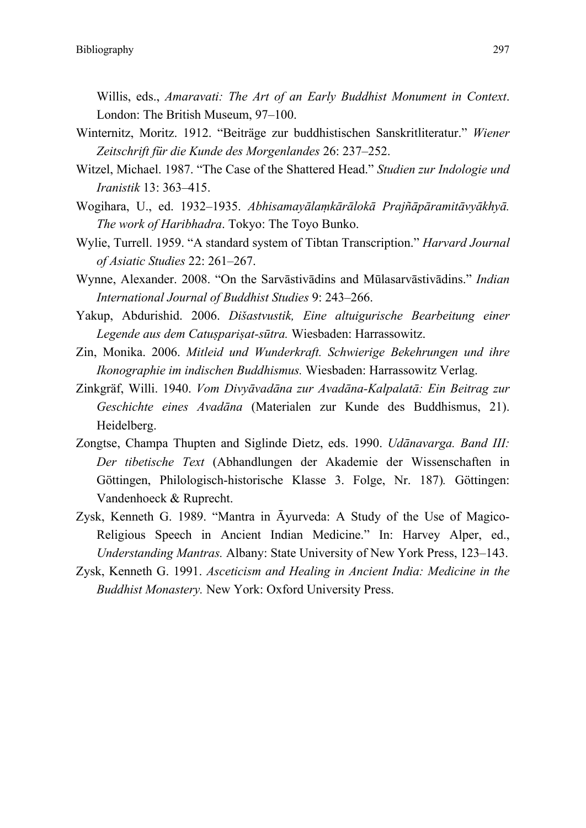Willis, eds., *Amaravati: The Art of an Early Buddhist Monument in Context*. London: The British Museum, 97–100.

- Winternitz, Moritz. 1912. "Beiträge zur buddhistischen Sanskritliteratur." *Wiener Zeitschrift für die Kunde des Morgenlandes* 26: 237–252.
- Witzel, Michael. 1987. "The Case of the Shattered Head." *Studien zur Indologie und Iranistik* 13: 363–415.
- Wogihara, U., ed. 1932–1935. *Abhisamayālaṃkārālokā Prajñāpāramitāvyākhyā. The work of Haribhadra*. Tokyo: The Toyo Bunko.
- Wylie, Turrell. 1959. "A standard system of Tibtan Transcription." *Harvard Journal of Asiatic Studies* 22: 261–267.
- Wynne, Alexander. 2008. "On the Sarvāstivādins and Mūlasarvāstivādins." *Indian International Journal of Buddhist Studies* 9: 243–266.
- Yakup, Abdurishid. 2006. *Dišastvustik, Eine altuigurische Bearbeitung einer Legende aus dem Catuṣpariṣat-sūtra.* Wiesbaden: Harrassowitz.
- Zin, Monika. 2006. *Mitleid und Wunderkraft. Schwierige Bekehrungen und ihre Ikonographie im indischen Buddhismus.* Wiesbaden: Harrassowitz Verlag.
- Zinkgräf, Willi. 1940. *Vom Divyāvadāna zur Avadāna-Kalpalatā: Ein Beitrag zur Geschichte eines Avadāna* (Materialen zur Kunde des Buddhismus, 21). Heidelberg.
- Zongtse, Champa Thupten and Siglinde Dietz, eds. 1990. *Udānavarga. Band III: Der tibetische Text* (Abhandlungen der Akademie der Wissenschaften in Göttingen, Philologisch-historische Klasse 3. Folge, Nr. 187)*.* Göttingen: Vandenhoeck & Ruprecht.
- Zysk, Kenneth G. 1989. "Mantra in Āyurveda: A Study of the Use of Magico-Religious Speech in Ancient Indian Medicine." In: Harvey Alper, ed., *Understanding Mantras.* Albany: State University of New York Press, 123–143.
- Zysk, Kenneth G. 1991. *Asceticism and Healing in Ancient India: Medicine in the Buddhist Monastery.* New York: Oxford University Press.